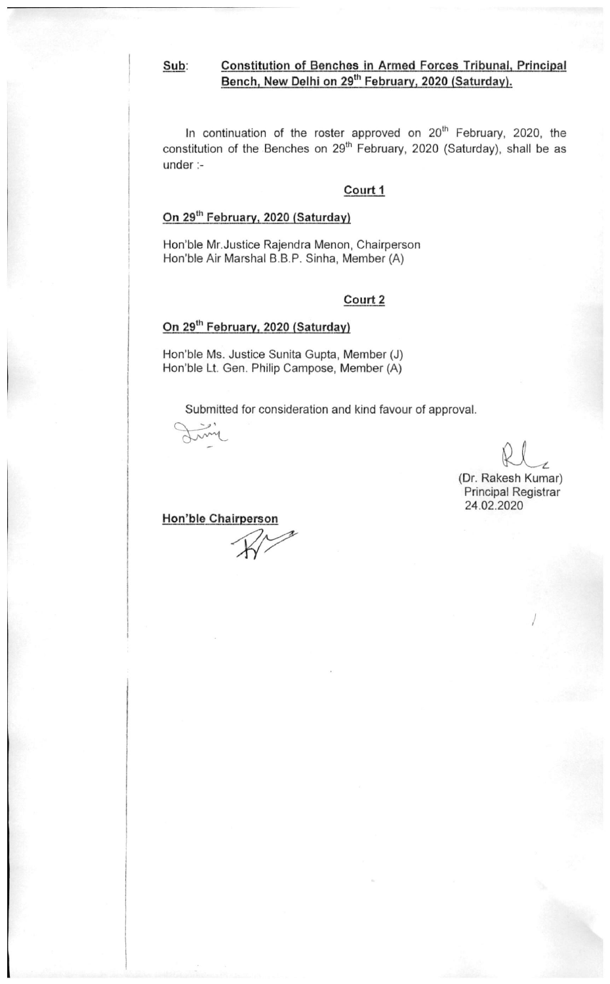Constitution of Benches in Armed Forces Tribunal, Principal Sub: Bench, New Delhi on 29<sup>th</sup> February, 2020 (Saturday).

In continuation of the roster approved on 20<sup>th</sup> February, 2020, the constitution of the Benches on 29<sup>th</sup> February, 2020 (Saturday), shall be as  $under: -$ 

### Court 1

## On 29th February, 2020 (Saturday)

Hon'ble Mr.Justice Rajendra Menon, Chairperson Hon'ble Air Marshal B.B.P. Sinha, Member (A)

### Court 2

### On 29<sup>th</sup> February, 2020 (Saturday)

Hon'ble Ms. Justice Sunita Gupta, Member (J) Hon'ble Lt. Gen. Philip Campose, Member (A)

Submitted for consideration and kind favour of approval.

(Dr. Rakesh Kumar) Principal Registrar 24.02.2020

## Hon'ble Chairperson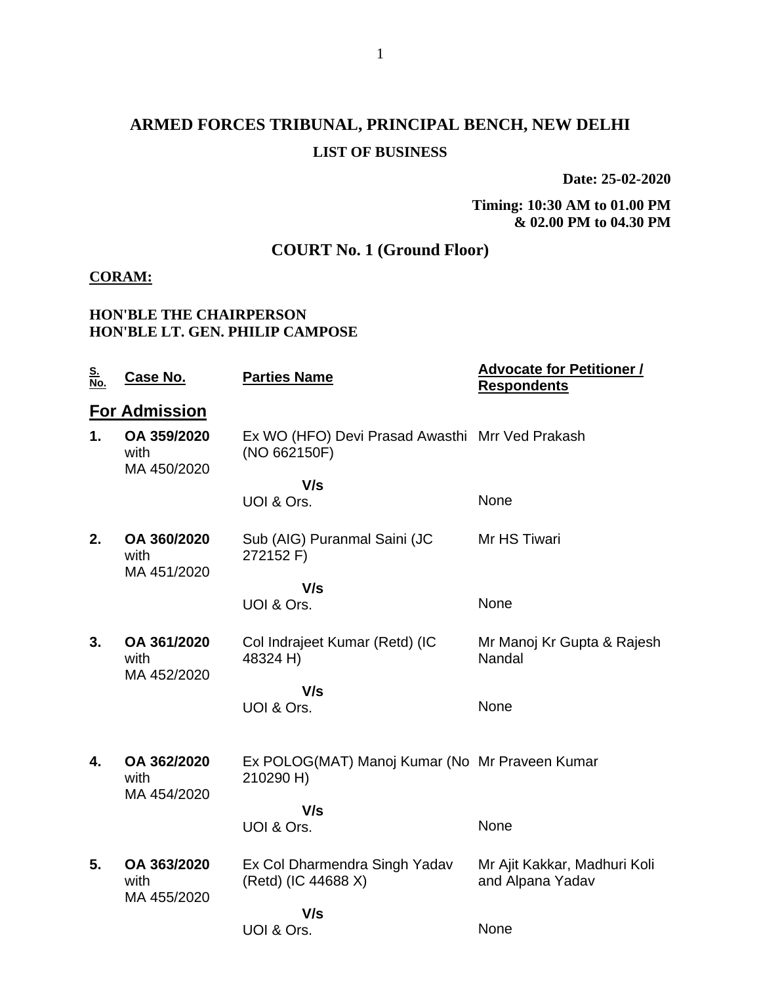# **ARMED FORCES TRIBUNAL, PRINCIPAL BENCH, NEW DELHI LIST OF BUSINESS**

**Date: 25-02-2020**

**Timing: 10:30 AM to 01.00 PM & 02.00 PM to 04.30 PM**

## **COURT No. 1 (Ground Floor)**

### **CORAM:**

### **HON'BLE THE CHAIRPERSON HON'BLE LT. GEN. PHILIP CAMPOSE**

| <u>S.<br/>No.</u> | Case No.                           | <b>Parties Name</b>                                             | <b>Advocate for Petitioner /</b><br><b>Respondents</b> |
|-------------------|------------------------------------|-----------------------------------------------------------------|--------------------------------------------------------|
|                   | <b>For Admission</b>               |                                                                 |                                                        |
| 1.                | OA 359/2020<br>with<br>MA 450/2020 | Ex WO (HFO) Devi Prasad Awasthi Mrr Ved Prakash<br>(NO 662150F) |                                                        |
|                   |                                    | V/s                                                             |                                                        |
|                   |                                    | UOI & Ors.                                                      | None                                                   |
| 2.                | OA 360/2020<br>with<br>MA 451/2020 | Sub (AIG) Puranmal Saini (JC<br>272152 F)                       | Mr HS Tiwari                                           |
|                   |                                    | V/s                                                             |                                                        |
|                   |                                    | UOI & Ors.                                                      | None                                                   |
|                   |                                    |                                                                 |                                                        |
| 3.                | OA 361/2020<br>with<br>MA 452/2020 | Col Indrajeet Kumar (Retd) (IC<br>48324 H)                      | Mr Manoj Kr Gupta & Rajesh<br>Nandal                   |
|                   |                                    | V/s                                                             |                                                        |
|                   |                                    | UOI & Ors.                                                      | None                                                   |
|                   |                                    |                                                                 |                                                        |
| 4.                | OA 362/2020<br>with                | Ex POLOG(MAT) Manoj Kumar (No Mr Praveen Kumar<br>210290 H)     |                                                        |
|                   | MA 454/2020                        | V/s                                                             |                                                        |
|                   |                                    | UOI & Ors.                                                      | None                                                   |
| 5.                | OA 363/2020<br>with<br>MA 455/2020 | Ex Col Dharmendra Singh Yadav<br>(Retd) (IC 44688 X)            | Mr Ajit Kakkar, Madhuri Koli<br>and Alpana Yadav       |
|                   |                                    | V/s                                                             |                                                        |
|                   |                                    | UOI & Ors.                                                      | None                                                   |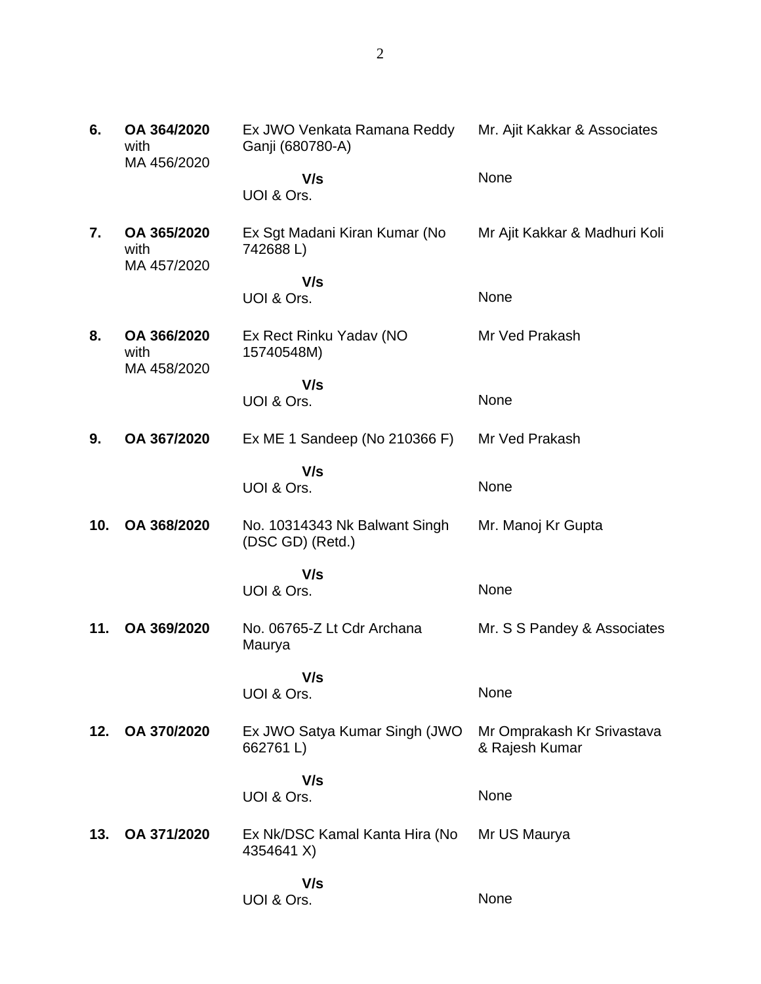| 6.  | OA 364/2020<br>with<br>MA 456/2020 | Ex JWO Venkata Ramana Reddy<br>Ganji (680780-A)   | Mr. Ajit Kakkar & Associates                 |
|-----|------------------------------------|---------------------------------------------------|----------------------------------------------|
|     |                                    | V/s<br>UOI & Ors.                                 | None                                         |
| 7.  | OA 365/2020<br>with<br>MA 457/2020 | Ex Sgt Madani Kiran Kumar (No<br>742688L)         | Mr Ajit Kakkar & Madhuri Koli                |
|     |                                    | V/s                                               |                                              |
|     |                                    | UOI & Ors.                                        | None                                         |
| 8.  | OA 366/2020<br>with<br>MA 458/2020 | Ex Rect Rinku Yadav (NO<br>15740548M)             | Mr Ved Prakash                               |
|     |                                    | V/s                                               |                                              |
|     |                                    | UOI & Ors.                                        | None                                         |
| 9.  | OA 367/2020                        | Ex ME 1 Sandeep (No 210366 F)                     | Mr Ved Prakash                               |
|     |                                    | V/s<br>UOI & Ors.                                 | None                                         |
| 10. | OA 368/2020                        | No. 10314343 Nk Balwant Singh<br>(DSC GD) (Retd.) | Mr. Manoj Kr Gupta                           |
|     |                                    | V/s                                               |                                              |
|     |                                    | UOI & Ors.                                        | None                                         |
| 11. | OA 369/2020                        | No. 06765-Z Lt Cdr Archana<br>Maurya              | Mr. S S Pandey & Associates                  |
|     |                                    | V/s                                               |                                              |
|     |                                    | UOI & Ors.                                        | None                                         |
| 12. | OA 370/2020                        | Ex JWO Satya Kumar Singh (JWO<br>662761L)         | Mr Omprakash Kr Srivastava<br>& Rajesh Kumar |
|     |                                    | V/s                                               |                                              |
|     |                                    | UOI & Ors.                                        | None                                         |
| 13. | OA 371/2020                        | Ex Nk/DSC Kamal Kanta Hira (No<br>4354641 X)      | Mr US Maurya                                 |
|     |                                    | V/s                                               |                                              |
|     |                                    | UOI & Ors.                                        | None                                         |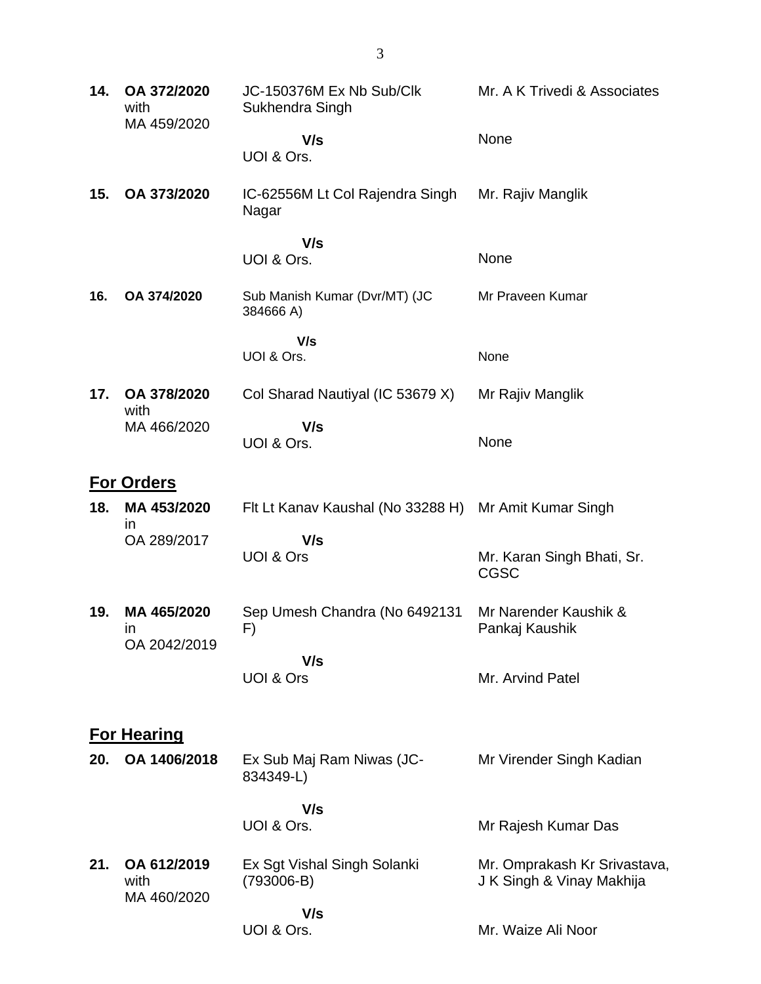| 14. | OA 372/2020<br>with<br>MA 459/2020 | JC-150376M Ex Nb Sub/Clk<br>Sukhendra Singh | Mr. A K Trivedi & Associates                              |
|-----|------------------------------------|---------------------------------------------|-----------------------------------------------------------|
|     |                                    | V/s<br>UOI & Ors.                           | None                                                      |
| 15. | OA 373/2020                        | IC-62556M Lt Col Rajendra Singh<br>Nagar    | Mr. Rajiv Manglik                                         |
|     |                                    | V/s<br>UOI & Ors.                           | None                                                      |
| 16. | OA 374/2020                        | Sub Manish Kumar (Dvr/MT) (JC<br>384666 A)  | Mr Praveen Kumar                                          |
|     |                                    | V/s<br>UOI & Ors.                           | None                                                      |
| 17. | OA 378/2020<br>with                | Col Sharad Nautiyal (IC 53679 X)            | Mr Rajiv Manglik                                          |
|     | MA 466/2020                        | V/s<br>UOI & Ors.                           | None                                                      |
|     | <b>For Orders</b>                  |                                             |                                                           |
| 18. | MA 453/2020<br>in                  | Flt Lt Kanav Kaushal (No 33288 H)           | Mr Amit Kumar Singh                                       |
|     | OA 289/2017                        | V/s<br>UOI & Ors                            | Mr. Karan Singh Bhati, Sr.<br><b>CGSC</b>                 |
| 19. | MA 465/2020<br>in<br>OA 2042/2019  | Sep Umesh Chandra (No 6492131<br>F)         | Mr Narender Kaushik &<br>Pankaj Kaushik                   |
|     |                                    | V/s<br>UOI & Ors                            | Mr. Arvind Patel                                          |
|     | <b>For Hearing</b>                 |                                             |                                                           |
| 20. | OA 1406/2018                       | Ex Sub Maj Ram Niwas (JC-<br>834349-L)      | Mr Virender Singh Kadian                                  |
|     |                                    | V/s<br>UOI & Ors.                           | Mr Rajesh Kumar Das                                       |
| 21. | OA 612/2019<br>with<br>MA 460/2020 | Ex Sgt Vishal Singh Solanki<br>$(793006-B)$ | Mr. Omprakash Kr Srivastava,<br>J K Singh & Vinay Makhija |
|     |                                    | V/s<br>UOI & Ors.                           | Mr. Waize Ali Noor                                        |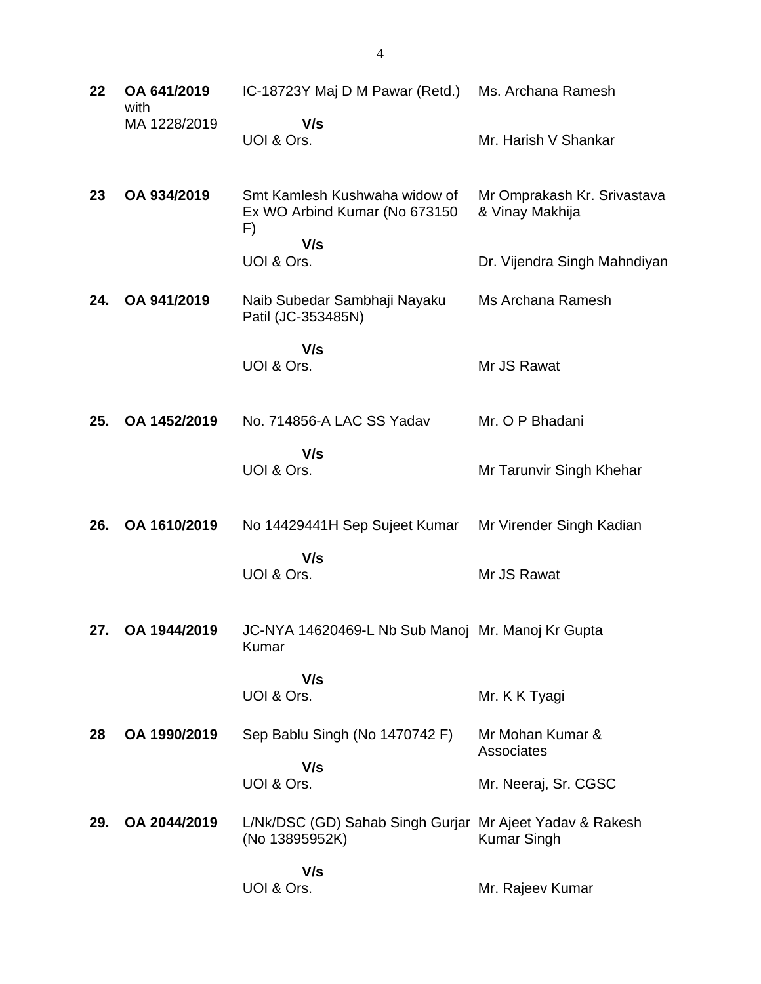| 22  | OA 641/2019<br>with | IC-18723Y Maj D M Pawar (Retd.)                                            | Ms. Archana Ramesh                             |
|-----|---------------------|----------------------------------------------------------------------------|------------------------------------------------|
|     | MA 1228/2019        | V/s<br>UOI & Ors.                                                          | Mr. Harish V Shankar                           |
| 23  | OA 934/2019         | Smt Kamlesh Kushwaha widow of<br>Ex WO Arbind Kumar (No 673150<br>F)       | Mr Omprakash Kr. Srivastava<br>& Vinay Makhija |
|     |                     | V/s<br>UOI & Ors.                                                          | Dr. Vijendra Singh Mahndiyan                   |
| 24. | OA 941/2019         | Naib Subedar Sambhaji Nayaku<br>Patil (JC-353485N)                         | Ms Archana Ramesh                              |
|     |                     | V/s<br>UOI & Ors.                                                          | Mr JS Rawat                                    |
| 25. | OA 1452/2019        | No. 714856-A LAC SS Yadav                                                  | Mr. O P Bhadani                                |
|     |                     | V/s<br>UOI & Ors.                                                          | Mr Tarunvir Singh Khehar                       |
| 26. | OA 1610/2019        | No 14429441H Sep Sujeet Kumar                                              | Mr Virender Singh Kadian                       |
|     |                     | V/s<br>UOI & Ors.                                                          | Mr JS Rawat                                    |
| 27. | OA 1944/2019        | JC-NYA 14620469-L Nb Sub Manoj Mr. Manoj Kr Gupta<br>Kumar                 |                                                |
|     |                     | V/s<br>UOI & Ors.                                                          | Mr. K K Tyagi                                  |
| 28  | OA 1990/2019        | Sep Bablu Singh (No 1470742 F)                                             | Mr Mohan Kumar &<br>Associates                 |
|     |                     | V/s<br>UOI & Ors.                                                          | Mr. Neeraj, Sr. CGSC                           |
| 29. | OA 2044/2019        | L/Nk/DSC (GD) Sahab Singh Gurjar Mr Ajeet Yadav & Rakesh<br>(No 13895952K) | <b>Kumar Singh</b>                             |
|     |                     | V/s<br>UOI & Ors.                                                          | Mr. Rajeev Kumar                               |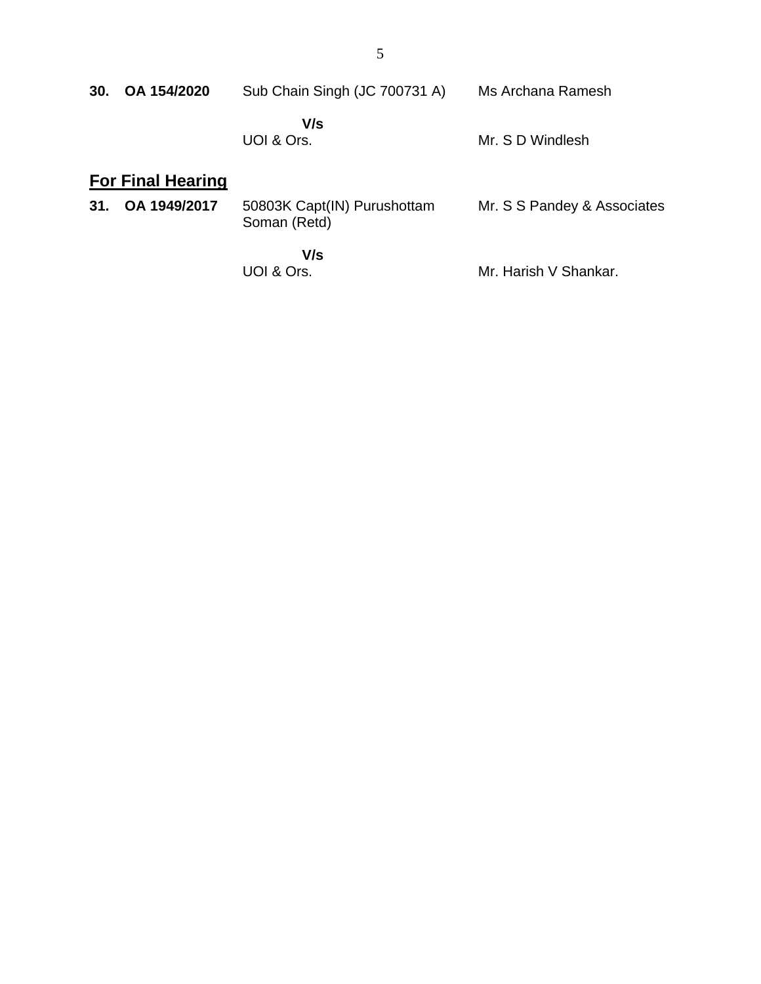| 30. | OA 154/2020                              | Sub Chain Singh (JC 700731 A)               | Ms Archana Ramesh           |
|-----|------------------------------------------|---------------------------------------------|-----------------------------|
|     |                                          | V/s<br>UOI & Ors.                           | Mr. S D Windlesh            |
| 31. | <b>For Final Hearing</b><br>OA 1949/2017 | 50803K Capt(IN) Purushottam<br>Soman (Retd) | Mr. S S Pandey & Associates |
|     |                                          | V/s<br>UOI & Ors.                           | Mr. Harish V Shankar.       |

UOI & Ors.

5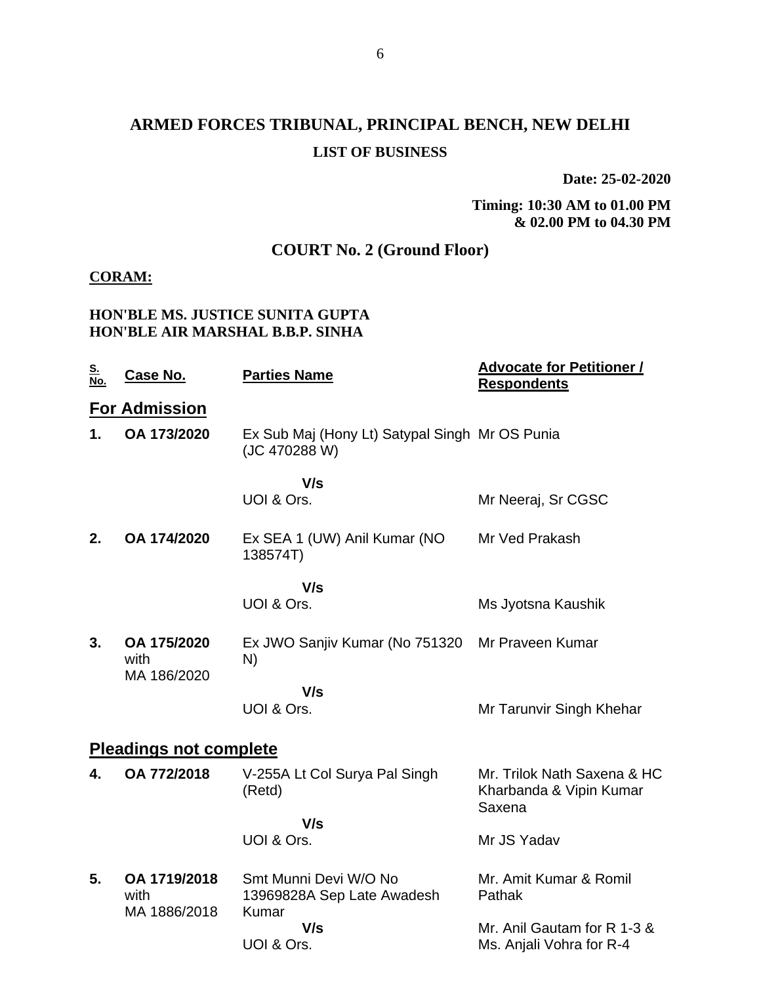# **ARMED FORCES TRIBUNAL, PRINCIPAL BENCH, NEW DELHI LIST OF BUSINESS**

**Date: 25-02-2020**

**Timing: 10:30 AM to 01.00 PM & 02.00 PM to 04.30 PM**

## **COURT No. 2 (Ground Floor)**

### **CORAM:**

### **HON'BLE MS. JUSTICE SUNITA GUPTA HON'BLE AIR MARSHAL B.B.P. SINHA**

| <u>S.</u><br><u>No.</u> | <b>Case No.</b>                      | <b>Parties Name</b>                                             | <b>Advocate for Petitioner /</b><br><b>Respondents</b>           |
|-------------------------|--------------------------------------|-----------------------------------------------------------------|------------------------------------------------------------------|
|                         | <b>For Admission</b>                 |                                                                 |                                                                  |
| $\mathbf 1$ .           | OA 173/2020                          | Ex Sub Maj (Hony Lt) Satypal Singh Mr OS Punia<br>(JC 470288 W) |                                                                  |
|                         |                                      | V/s                                                             |                                                                  |
|                         |                                      | UOI & Ors.                                                      | Mr Neeraj, Sr CGSC                                               |
| 2.                      | OA 174/2020                          | Ex SEA 1 (UW) Anil Kumar (NO<br>138574T)                        | Mr Ved Prakash                                                   |
|                         |                                      | V/s                                                             |                                                                  |
|                         |                                      | UOI & Ors.                                                      | Ms Jyotsna Kaushik                                               |
| 3.                      | OA 175/2020<br>with<br>MA 186/2020   | Ex JWO Sanjiv Kumar (No 751320<br>N)                            | Mr Praveen Kumar                                                 |
|                         |                                      | V/s                                                             |                                                                  |
|                         |                                      | UOI & Ors.                                                      | Mr Tarunvir Singh Khehar                                         |
|                         | <b>Pleadings not complete</b>        |                                                                 |                                                                  |
| 4.                      | OA 772/2018                          | V-255A Lt Col Surya Pal Singh<br>(Retd)                         | Mr. Trilok Nath Saxena & HC<br>Kharbanda & Vipin Kumar<br>Saxena |
|                         |                                      | V/s                                                             |                                                                  |
|                         |                                      | UOI & Ors.                                                      | Mr JS Yadav                                                      |
| 5.                      | OA 1719/2018<br>with<br>MA 1886/2018 | Smt Munni Devi W/O No<br>13969828A Sep Late Awadesh<br>Kumar    | Mr. Amit Kumar & Romil<br>Pathak                                 |
|                         |                                      | V/s<br>UOI & Ors.                                               | Mr. Anil Gautam for R 1-3 &<br>Ms. Anjali Vohra for R-4          |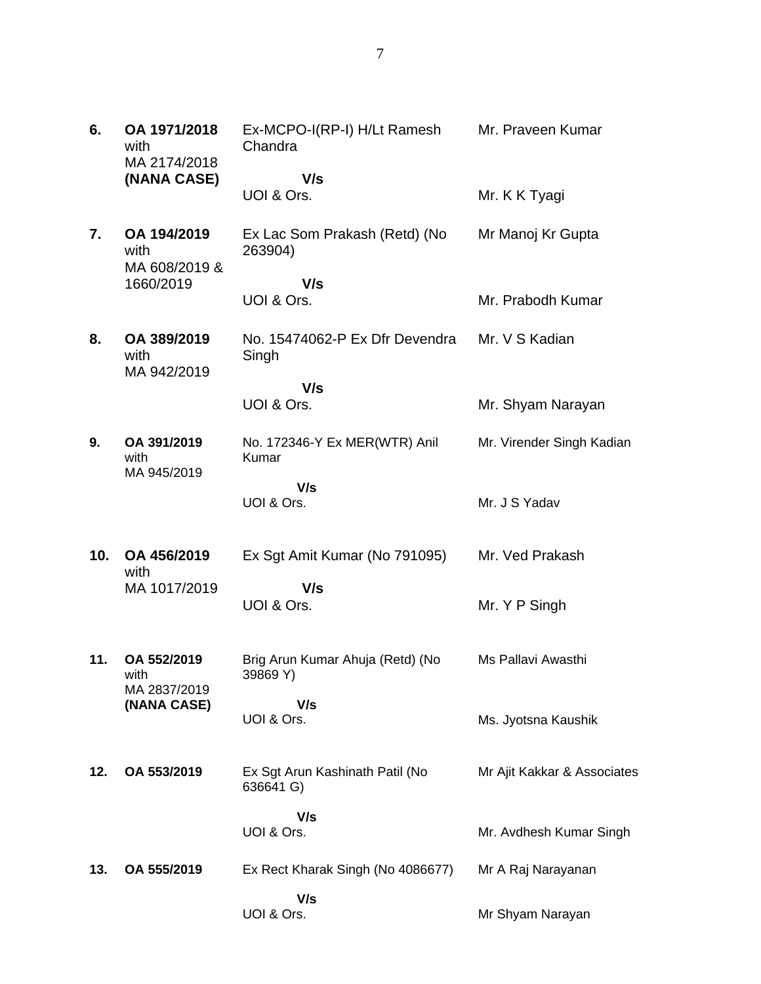| 6.  | OA 1971/2018<br>with                 | Ex-MCPO-I(RP-I) H/Lt Ramesh<br>Chandra       | Mr. Praveen Kumar           |
|-----|--------------------------------------|----------------------------------------------|-----------------------------|
|     | MA 2174/2018                         |                                              |                             |
|     | (NANA CASE)                          | V/s<br>UOI & Ors.                            | Mr. K K Tyagi               |
| 7.  | OA 194/2019<br>with<br>MA 608/2019 & | Ex Lac Som Prakash (Retd) (No<br>263904)     | Mr Manoj Kr Gupta           |
|     | 1660/2019                            | V/s<br>UOI & Ors.                            | Mr. Prabodh Kumar           |
| 8.  | OA 389/2019<br>with<br>MA 942/2019   | No. 15474062-P Ex Dfr Devendra<br>Singh      | Mr. V S Kadian              |
|     |                                      | V/s<br>UOI & Ors.                            | Mr. Shyam Narayan           |
| 9.  | OA 391/2019<br>with<br>MA 945/2019   | No. 172346-Y Ex MER(WTR) Anil<br>Kumar       | Mr. Virender Singh Kadian   |
|     |                                      | V/s<br>UOI & Ors.                            | Mr. J S Yadav               |
| 10. | OA 456/2019<br>with                  | Ex Sgt Amit Kumar (No 791095)                | Mr. Ved Prakash             |
|     | MA 1017/2019                         | V/s<br>UOI & Ors.                            | Mr. Y P Singh               |
| 11. | OA 552/2019<br>with                  | Brig Arun Kumar Ahuja (Retd) (No<br>39869 Y) | Ms Pallavi Awasthi          |
|     | MA 2837/2019<br>(NANA CASE)          | V/s<br>UOI & Ors.                            | Ms. Jyotsna Kaushik         |
| 12. | OA 553/2019                          | Ex Sgt Arun Kashinath Patil (No<br>636641 G) | Mr Ajit Kakkar & Associates |
|     |                                      | V/s<br>UOI & Ors.                            | Mr. Avdhesh Kumar Singh     |
|     |                                      |                                              |                             |
| 13. | OA 555/2019                          | Ex Rect Kharak Singh (No 4086677)            | Mr A Raj Narayanan          |
|     |                                      | V/s<br>UOI & Ors.                            | Mr Shyam Narayan            |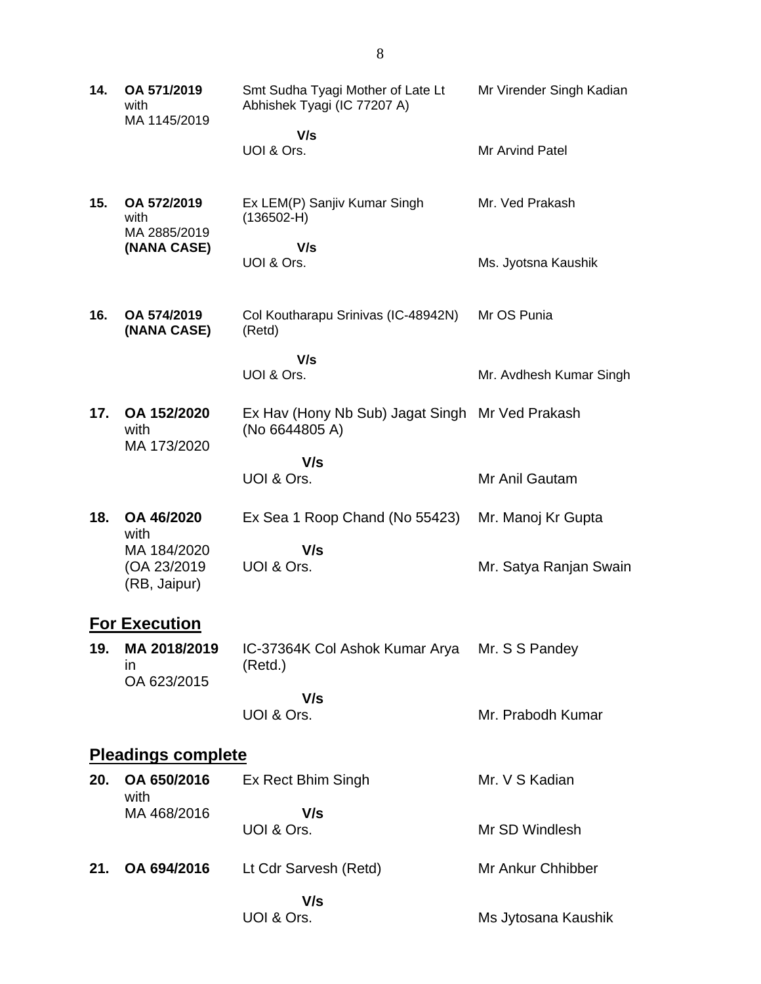| 14. | OA 571/2019<br>with<br>MA 1145/2019         | Smt Sudha Tyagi Mother of Late Lt<br>Abhishek Tyagi (IC 77207 A)  | Mr Virender Singh Kadian |
|-----|---------------------------------------------|-------------------------------------------------------------------|--------------------------|
|     |                                             | V/s<br>UOI & Ors.                                                 | Mr Arvind Patel          |
| 15. | OA 572/2019<br>with<br>MA 2885/2019         | Ex LEM(P) Sanjiv Kumar Singh<br>$(136502-H)$                      | Mr. Ved Prakash          |
|     | (NANA CASE)                                 | V/s<br>UOI & Ors.                                                 | Ms. Jyotsna Kaushik      |
| 16. | OA 574/2019<br>(NANA CASE)                  | Col Koutharapu Srinivas (IC-48942N)<br>(Retd)                     | Mr OS Punia              |
|     |                                             | V/s<br>UOI & Ors.                                                 | Mr. Avdhesh Kumar Singh  |
| 17. | OA 152/2020<br>with<br>MA 173/2020          | Ex Hav (Hony Nb Sub) Jagat Singh Mr Ved Prakash<br>(No 6644805 A) |                          |
|     |                                             | V/s<br>UOI & Ors.                                                 | Mr Anil Gautam           |
| 18. | OA 46/2020<br>with                          | Ex Sea 1 Roop Chand (No 55423)                                    | Mr. Manoj Kr Gupta       |
|     | MA 184/2020<br>(OA 23/2019)<br>(RB, Jaipur) | V/s<br>UOI & Ors.                                                 | Mr. Satya Ranjan Swain   |
|     | <b>For Execution</b>                        |                                                                   |                          |
| 19. | MA 2018/2019<br>in<br>OA 623/2015           | IC-37364K Col Ashok Kumar Arya<br>(Retd.)                         | Mr. S S Pandey           |
|     |                                             | V/s<br>UOI & Ors.                                                 | Mr. Prabodh Kumar        |
|     | <b>Pleadings complete</b>                   |                                                                   |                          |
| 20. | OA 650/2016<br>with                         | Ex Rect Bhim Singh                                                | Mr. V S Kadian           |
|     | MA 468/2016                                 | V/s<br>UOI & Ors.                                                 | Mr SD Windlesh           |
| 21. | OA 694/2016                                 | Lt Cdr Sarvesh (Retd)                                             | Mr Ankur Chhibber        |
|     |                                             | V/s<br>UOI & Ors.                                                 | Ms Jytosana Kaushik      |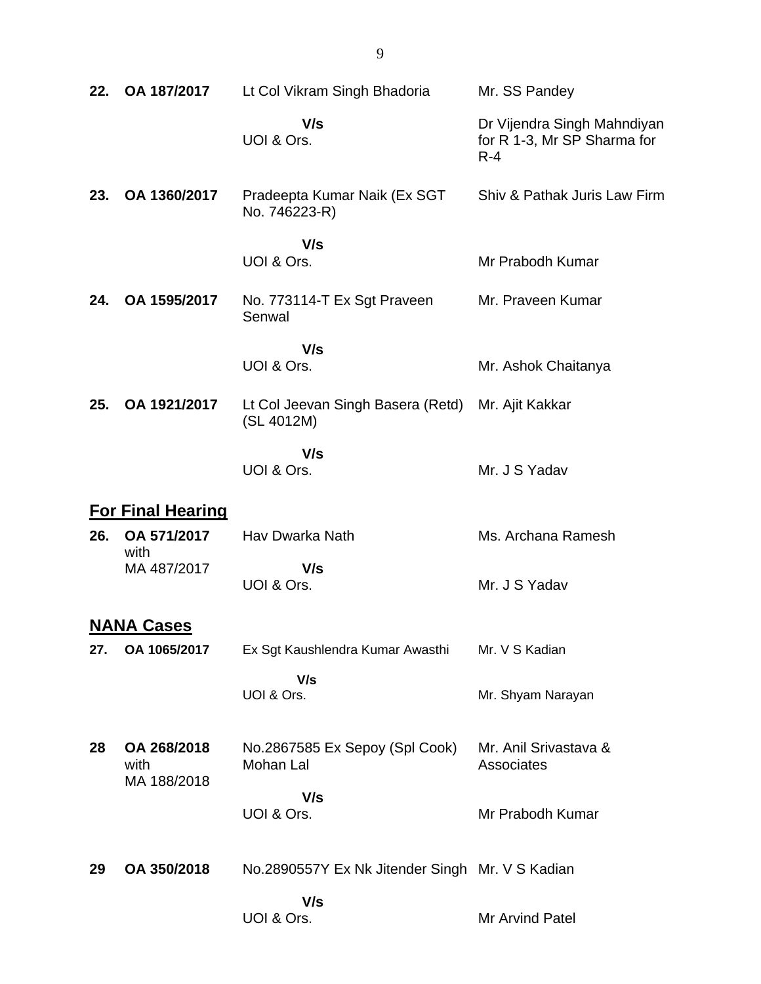| 22. | OA 187/2017                        | Lt Col Vikram Singh Bhadoria                    | Mr. SS Pandey                                                         |
|-----|------------------------------------|-------------------------------------------------|-----------------------------------------------------------------------|
|     |                                    | V/s<br>UOI & Ors.                               | Dr Vijendra Singh Mahndiyan<br>for R 1-3, Mr SP Sharma for<br>$R - 4$ |
| 23. | OA 1360/2017                       | Pradeepta Kumar Naik (Ex SGT<br>No. 746223-R)   | Shiv & Pathak Juris Law Firm                                          |
|     |                                    | V/s<br>UOI & Ors.                               | Mr Prabodh Kumar                                                      |
| 24. | OA 1595/2017                       | No. 773114-T Ex Sgt Praveen<br>Senwal           | Mr. Praveen Kumar                                                     |
|     |                                    | V/s<br>UOI & Ors.                               | Mr. Ashok Chaitanya                                                   |
| 25. | OA 1921/2017                       | Lt Col Jeevan Singh Basera (Retd)<br>(SL 4012M) | Mr. Ajit Kakkar                                                       |
|     |                                    | V/s<br>UOI & Ors.                               | Mr. J S Yadav                                                         |
|     | <b>For Final Hearing</b>           |                                                 |                                                                       |
| 26. | OA 571/2017<br>with                | Hav Dwarka Nath                                 | Ms. Archana Ramesh                                                    |
|     | MA 487/2017                        | V/s<br>UOI & Ors.                               | Mr. J S Yadav                                                         |
|     | <b>NANA Cases</b>                  |                                                 |                                                                       |
| 27. | OA 1065/2017                       | Ex Sgt Kaushlendra Kumar Awasthi                | Mr. V S Kadian                                                        |
|     |                                    | V/s<br>UOI & Ors.                               | Mr. Shyam Narayan                                                     |
| 28  | OA 268/2018<br>with<br>MA 188/2018 | No.2867585 Ex Sepoy (Spl Cook)<br>Mohan Lal     | Mr. Anil Srivastava &<br>Associates                                   |
|     |                                    | V/s<br>UOI & Ors.                               | Mr Prabodh Kumar                                                      |
| 29  | OA 350/2018                        | No.2890557Y Ex Nk Jitender Singh Mr. V S Kadian |                                                                       |
|     |                                    | V/s<br>UOI & Ors.                               | Mr Arvind Patel                                                       |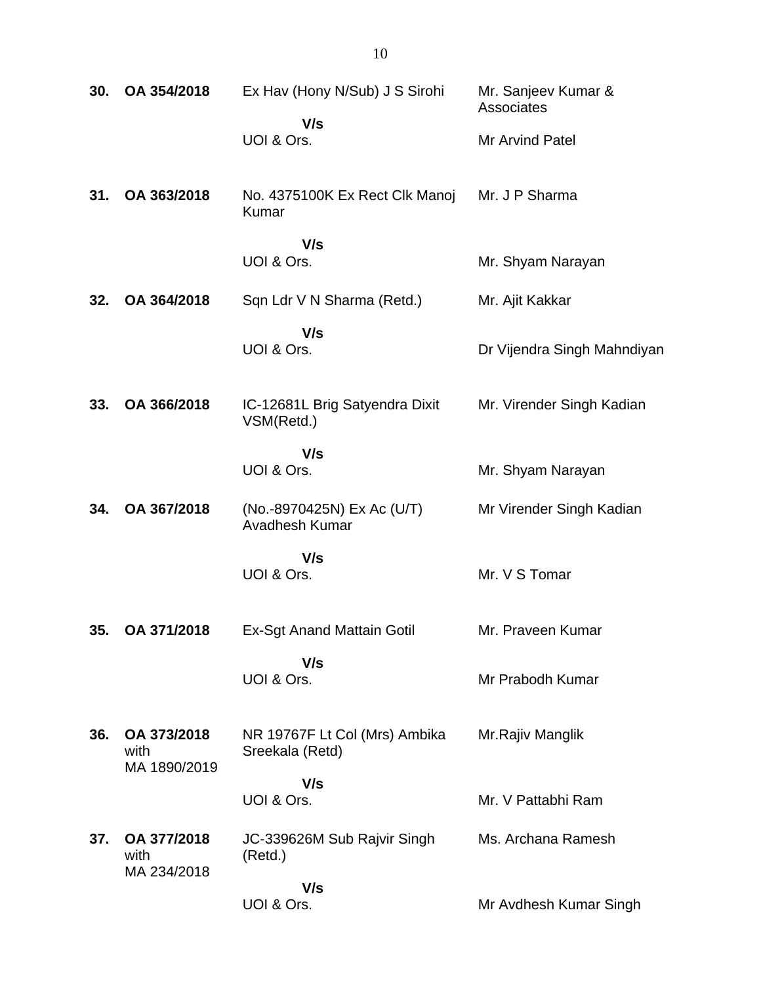| 30. | OA 354/2018                         | Ex Hav (Hony N/Sub) J S Sirohi                   | Mr. Sanjeev Kumar &<br>Associates |
|-----|-------------------------------------|--------------------------------------------------|-----------------------------------|
|     |                                     | V/s<br>UOI & Ors.                                | Mr Arvind Patel                   |
| 31. | OA 363/2018                         | No. 4375100K Ex Rect Clk Manoj<br>Kumar          | Mr. J P Sharma                    |
|     |                                     | V/s<br>UOI & Ors.                                | Mr. Shyam Narayan                 |
|     |                                     |                                                  |                                   |
| 32. | OA 364/2018                         | Sqn Ldr V N Sharma (Retd.)                       | Mr. Ajit Kakkar                   |
|     |                                     | V/s<br>UOI & Ors.                                | Dr Vijendra Singh Mahndiyan       |
| 33. | OA 366/2018                         | IC-12681L Brig Satyendra Dixit<br>VSM(Retd.)     | Mr. Virender Singh Kadian         |
|     |                                     | V/s<br>UOI & Ors.                                | Mr. Shyam Narayan                 |
| 34. | OA 367/2018                         | (No.-8970425N) Ex Ac (U/T)<br>Avadhesh Kumar     | Mr Virender Singh Kadian          |
|     |                                     | V/s<br>UOI & Ors.                                | Mr. V S Tomar                     |
| 35. | OA 371/2018                         | Ex-Sgt Anand Mattain Gotil                       | Mr. Praveen Kumar                 |
|     |                                     | V/s<br>UOI & Ors.                                | Mr Prabodh Kumar                  |
| 36. | OA 373/2018<br>with<br>MA 1890/2019 | NR 19767F Lt Col (Mrs) Ambika<br>Sreekala (Retd) | Mr.Rajiv Manglik                  |
|     |                                     | V/s<br>UOI & Ors.                                | Mr. V Pattabhi Ram                |
| 37. | OA 377/2018<br>with<br>MA 234/2018  | JC-339626M Sub Rajvir Singh<br>(Retd.)           | Ms. Archana Ramesh                |
|     |                                     | V/s<br>UOI & Ors.                                | Mr Avdhesh Kumar Singh            |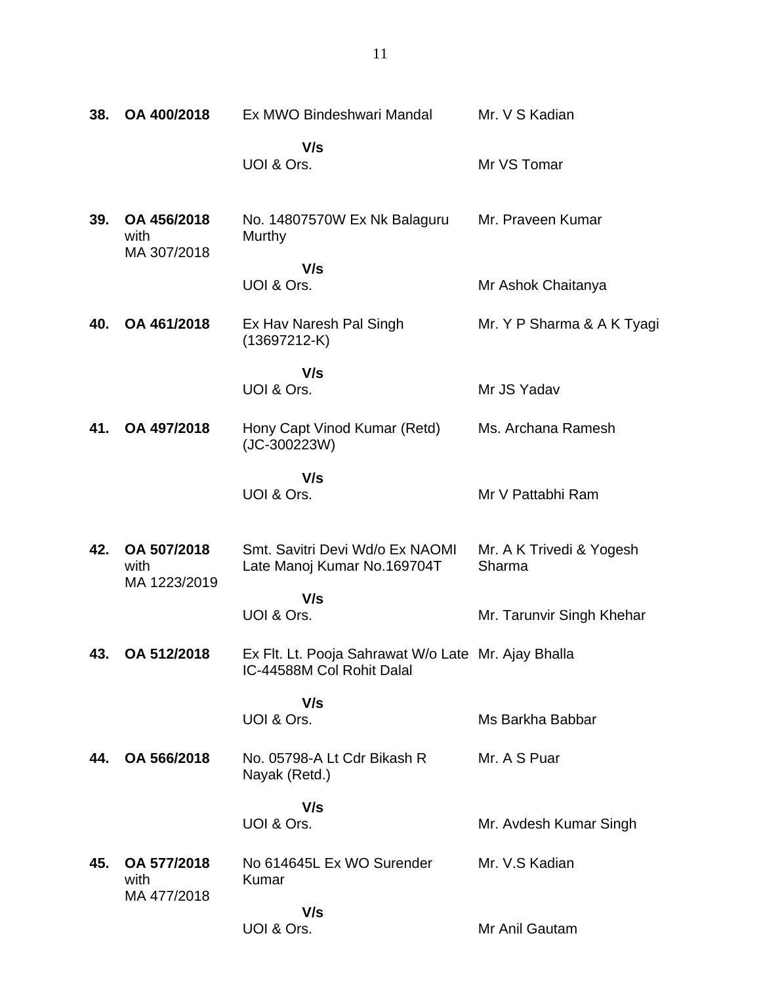| 38. | OA 400/2018                        | Ex MWO Bindeshwari Mandal                                                        | Mr. V S Kadian                     |
|-----|------------------------------------|----------------------------------------------------------------------------------|------------------------------------|
|     |                                    |                                                                                  |                                    |
|     |                                    | V/s<br>UOI & Ors.                                                                | Mr VS Tomar                        |
| 39. | OA 456/2018<br>with<br>MA 307/2018 | No. 14807570W Ex Nk Balaguru<br>Murthy                                           | Mr. Praveen Kumar                  |
|     |                                    | V/s<br>UOI & Ors.                                                                | Mr Ashok Chaitanya                 |
| 40. | OA 461/2018                        | Ex Hav Naresh Pal Singh<br>$(13697212-K)$                                        | Mr. Y P Sharma & A K Tyagi         |
|     |                                    | V/s                                                                              |                                    |
|     |                                    | UOI & Ors.                                                                       | Mr JS Yadav                        |
| 41. | OA 497/2018                        | Hony Capt Vinod Kumar (Retd)<br>$(JC-300223W)$                                   | Ms. Archana Ramesh                 |
|     |                                    | V/s<br>UOI & Ors.                                                                | Mr V Pattabhi Ram                  |
| 42. | OA 507/2018<br>with                | Smt. Savitri Devi Wd/o Ex NAOMI<br>Late Manoj Kumar No.169704T                   | Mr. A K Trivedi & Yogesh<br>Sharma |
|     | MA 1223/2019                       | V/s<br>UOI & Ors.                                                                | Mr. Tarunvir Singh Khehar          |
| 43. | OA 512/2018                        | Ex Flt. Lt. Pooja Sahrawat W/o Late Mr. Ajay Bhalla<br>IC-44588M Col Rohit Dalal |                                    |
|     |                                    | V/s<br>UOI & Ors.                                                                | Ms Barkha Babbar                   |
| 44. | OA 566/2018                        | No. 05798-A Lt Cdr Bikash R<br>Nayak (Retd.)                                     | Mr. A S Puar                       |
|     |                                    | V/s<br>UOI & Ors.                                                                | Mr. Avdesh Kumar Singh             |
| 45. | OA 577/2018<br>with<br>MA 477/2018 | No 614645L Ex WO Surender<br>Kumar                                               | Mr. V.S Kadian                     |
|     |                                    | V/s<br>UOI & Ors.                                                                | Mr Anil Gautam                     |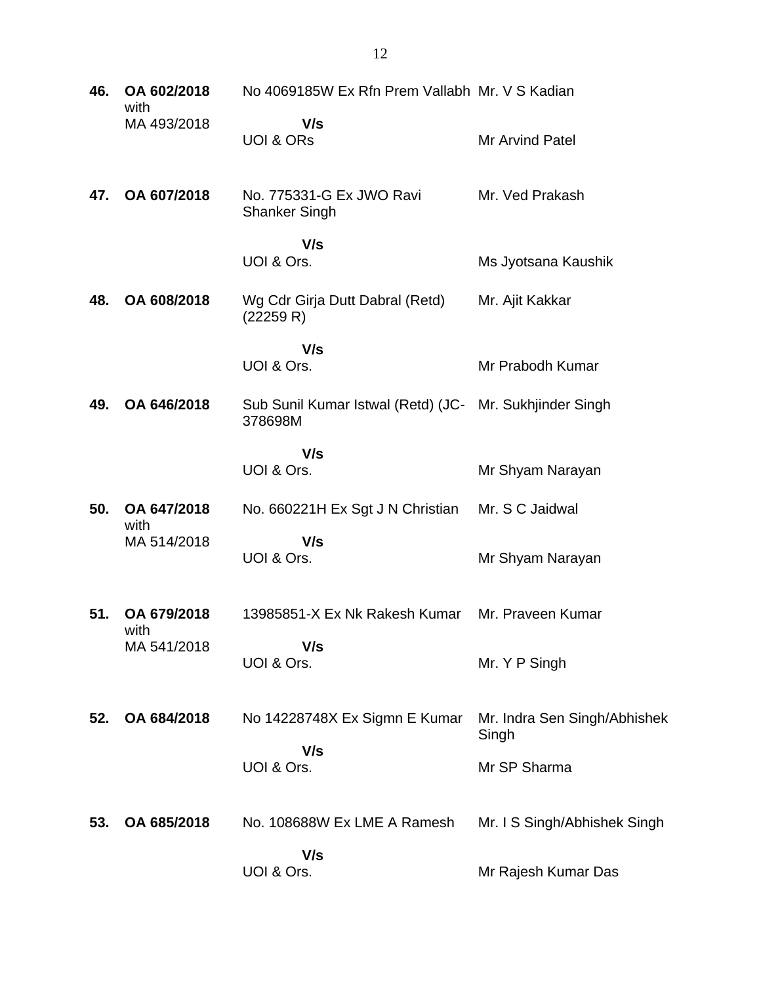| 46. | OA 602/2018<br>with | No 4069185W Ex Rfn Prem Vallabh Mr. V S Kadian                     |                                       |
|-----|---------------------|--------------------------------------------------------------------|---------------------------------------|
|     | MA 493/2018         | V/s<br><b>UOI &amp; ORS</b>                                        | Mr Arvind Patel                       |
| 47. | OA 607/2018         | No. 775331-G Ex JWO Ravi<br><b>Shanker Singh</b>                   | Mr. Ved Prakash                       |
|     |                     | V/s<br>UOI & Ors.                                                  | Ms Jyotsana Kaushik                   |
| 48. | OA 608/2018         | Wg Cdr Girja Dutt Dabral (Retd)<br>(22259 R)                       | Mr. Ajit Kakkar                       |
|     |                     | V/s<br>UOI & Ors.                                                  | Mr Prabodh Kumar                      |
| 49. | OA 646/2018         | Sub Sunil Kumar Istwal (Retd) (JC- Mr. Sukhjinder Singh<br>378698M |                                       |
|     |                     | V/s<br>UOI & Ors.                                                  | Mr Shyam Narayan                      |
| 50. | OA 647/2018<br>with | No. 660221H Ex Sgt J N Christian                                   | Mr. S C Jaidwal                       |
|     | MA 514/2018         | V/s<br>UOI & Ors.                                                  | Mr Shyam Narayan                      |
| 51. | OA 679/2018         | 13985851-X Ex Nk Rakesh Kumar                                      | Mr. Praveen Kumar                     |
|     | with<br>MA 541/2018 | V/s<br>UOI & Ors.                                                  | Mr. Y P Singh                         |
| 52. | OA 684/2018         | No 14228748X Ex Sigmn E Kumar                                      | Mr. Indra Sen Singh/Abhishek<br>Singh |
|     |                     | V/s<br>UOI & Ors.                                                  | Mr SP Sharma                          |
| 53. | OA 685/2018         | No. 108688W Ex LME A Ramesh                                        | Mr. I S Singh/Abhishek Singh          |
|     |                     | V/s<br>UOI & Ors.                                                  | Mr Rajesh Kumar Das                   |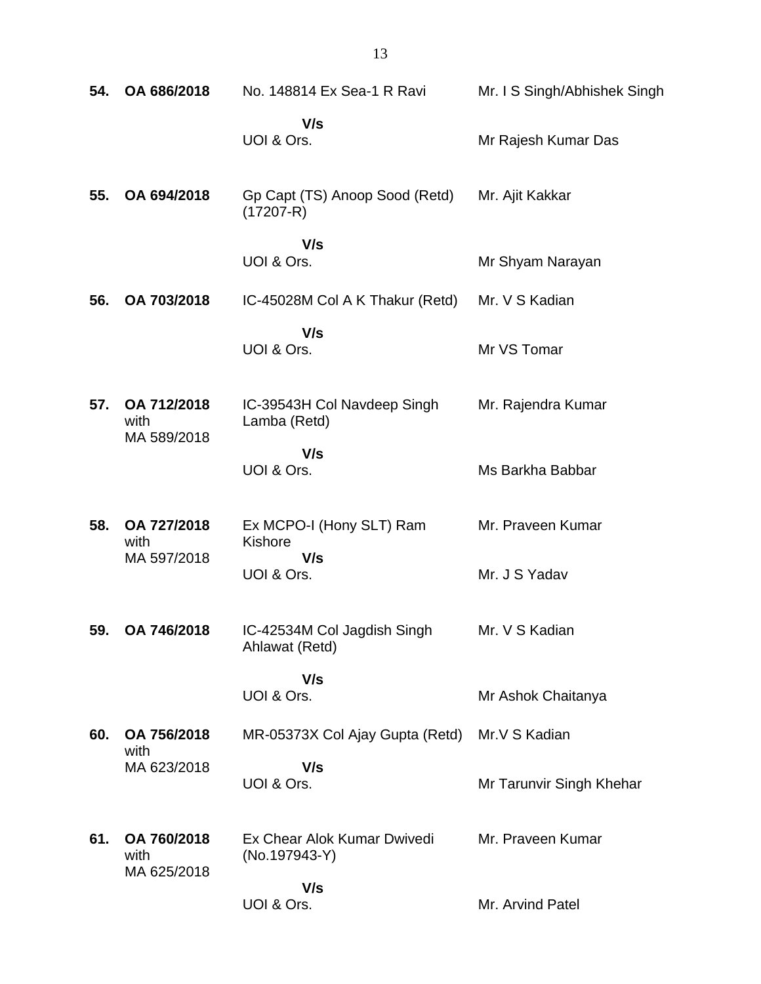| 54. | OA 686/2018                        | No. 148814 Ex Sea-1 R Ravi                      | Mr. I S Singh/Abhishek Singh |
|-----|------------------------------------|-------------------------------------------------|------------------------------|
|     |                                    | V/s<br>UOI & Ors.                               | Mr Rajesh Kumar Das          |
| 55. | OA 694/2018                        | Gp Capt (TS) Anoop Sood (Retd)<br>$(17207 - R)$ | Mr. Ajit Kakkar              |
|     |                                    | V/s<br>UOI & Ors.                               | Mr Shyam Narayan             |
| 56. | OA 703/2018                        | IC-45028M Col A K Thakur (Retd)                 | Mr. V S Kadian               |
|     |                                    | V/s<br>UOI & Ors.                               | Mr VS Tomar                  |
| 57. | OA 712/2018<br>with<br>MA 589/2018 | IC-39543H Col Navdeep Singh<br>Lamba (Retd)     | Mr. Rajendra Kumar           |
|     |                                    | V/s<br>UOI & Ors.                               | Ms Barkha Babbar             |
| 58. | OA 727/2018<br>with<br>MA 597/2018 | Ex MCPO-I (Hony SLT) Ram<br>Kishore<br>V/s      | Mr. Praveen Kumar            |
|     |                                    | UOI & Ors.                                      | Mr. J S Yadav                |
| 59. | OA 746/2018                        | IC-42534M Col Jagdish Singh<br>Ahlawat (Retd)   | Mr. V S Kadian               |
|     |                                    | V/s<br>UOI & Ors.                               | Mr Ashok Chaitanya           |
| 60. | OA 756/2018<br>with                | MR-05373X Col Ajay Gupta (Retd)                 | Mr.V S Kadian                |
|     | MA 623/2018                        | V/s<br>UOI & Ors.                               | Mr Tarunvir Singh Khehar     |
| 61. | OA 760/2018<br>with<br>MA 625/2018 | Ex Chear Alok Kumar Dwivedi<br>(No.197943-Y)    | Mr. Praveen Kumar            |
|     |                                    | V/s<br>UOI & Ors.                               | Mr. Arvind Patel             |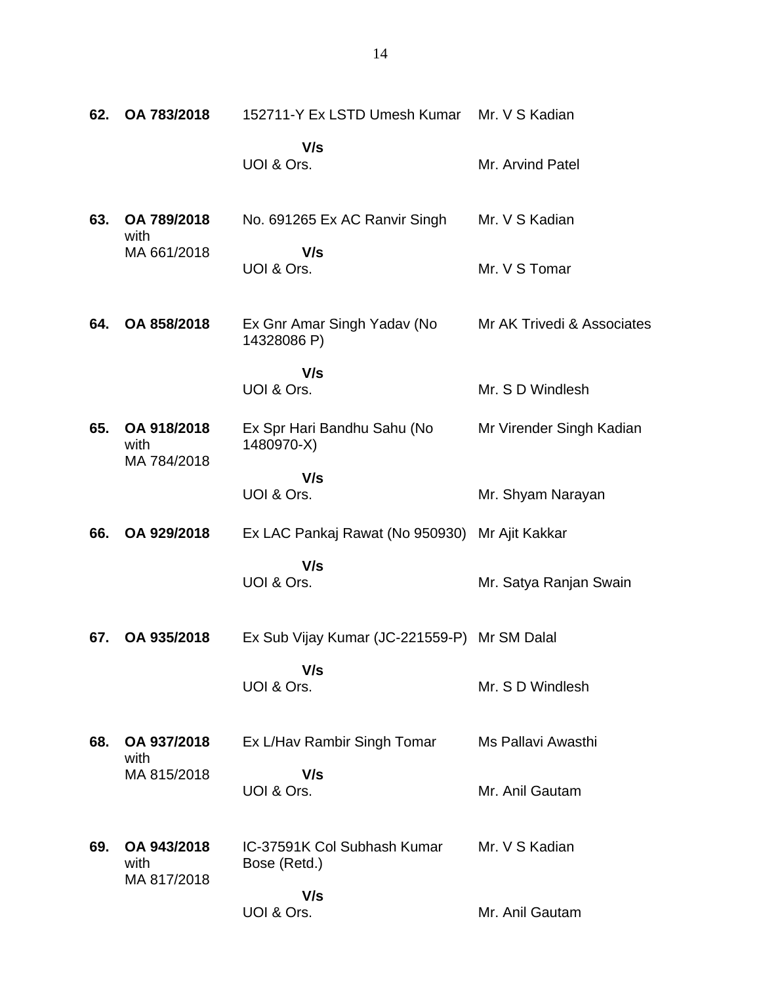| 62. | OA 783/2018                        | 152711-Y Ex LSTD Umesh Kumar                   | Mr. V S Kadian             |
|-----|------------------------------------|------------------------------------------------|----------------------------|
|     |                                    | V/s<br>UOI & Ors.                              | Mr. Arvind Patel           |
| 63. | OA 789/2018<br>with                | No. 691265 Ex AC Ranvir Singh                  | Mr. V S Kadian             |
|     | MA 661/2018                        | V/s<br>UOI & Ors.                              | Mr. V S Tomar              |
| 64. | OA 858/2018                        | Ex Gnr Amar Singh Yadav (No<br>14328086 P)     | Mr AK Trivedi & Associates |
|     |                                    | V/s<br>UOI & Ors.                              | Mr. S D Windlesh           |
| 65. | OA 918/2018<br>with<br>MA 784/2018 | Ex Spr Hari Bandhu Sahu (No<br>1480970-X)      | Mr Virender Singh Kadian   |
|     |                                    | V/s<br>UOI & Ors.                              | Mr. Shyam Narayan          |
| 66. | OA 929/2018                        | Ex LAC Pankaj Rawat (No 950930) Mr Ajit Kakkar |                            |
|     |                                    | V/s<br>UOI & Ors.                              | Mr. Satya Ranjan Swain     |
| 67. | OA 935/2018                        | Ex Sub Vijay Kumar (JC-221559-P) Mr SM Dalal   |                            |
|     |                                    | V/s<br>UOI & Ors.                              | Mr. S D Windlesh           |
| 68. | OA 937/2018<br>with                | Ex L/Hav Rambir Singh Tomar                    | Ms Pallavi Awasthi         |
|     | MA 815/2018                        | V/s<br>UOI & Ors.                              | Mr. Anil Gautam            |
| 69. | OA 943/2018<br>with<br>MA 817/2018 | IC-37591K Col Subhash Kumar<br>Bose (Retd.)    | Mr. V S Kadian             |
|     |                                    | V/s<br>UOI & Ors.                              | Mr. Anil Gautam            |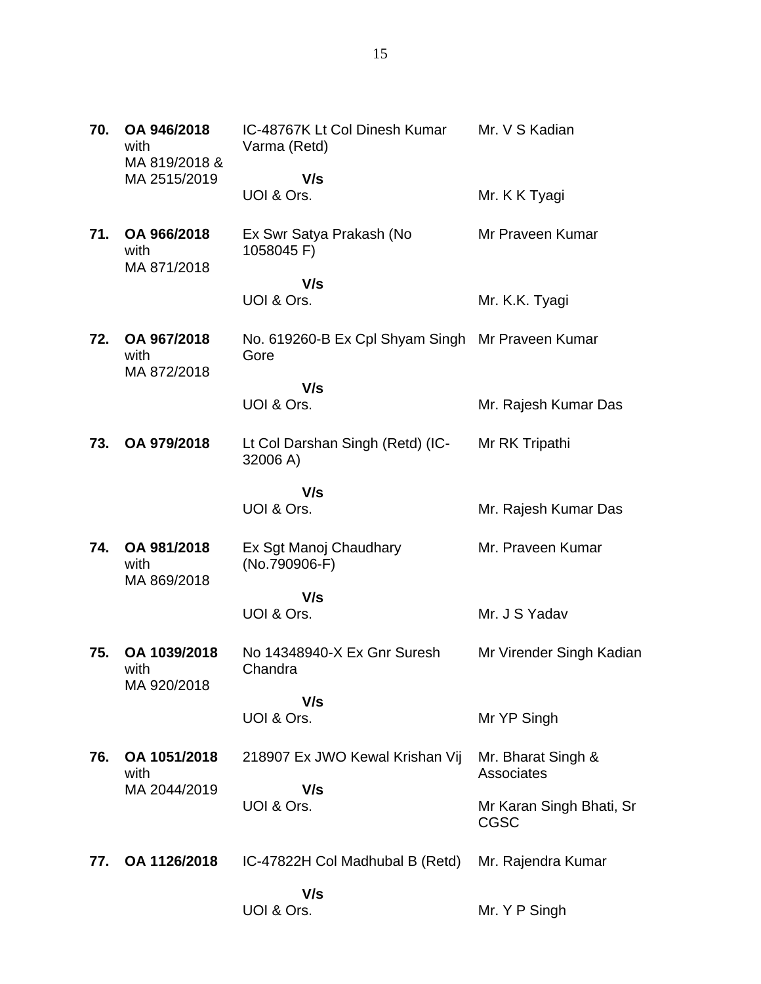| 70. | OA 946/2018<br>with<br>MA 819/2018 &<br>MA 2515/2019 | IC-48767K Lt Col Dinesh Kumar<br>Varma (Retd)            | Mr. V S Kadian                          |
|-----|------------------------------------------------------|----------------------------------------------------------|-----------------------------------------|
|     |                                                      | V/s<br>UOI & Ors.                                        | Mr. K K Tyagi                           |
| 71. | OA 966/2018<br>with<br>MA 871/2018                   | Ex Swr Satya Prakash (No<br>1058045 F)                   | Mr Praveen Kumar                        |
|     |                                                      | V/s<br>UOI & Ors.                                        | Mr. K.K. Tyagi                          |
| 72. | OA 967/2018<br>with<br>MA 872/2018                   | No. 619260-B Ex Cpl Shyam Singh Mr Praveen Kumar<br>Gore |                                         |
|     |                                                      | V/s<br>UOI & Ors.                                        | Mr. Rajesh Kumar Das                    |
| 73. | OA 979/2018                                          | Lt Col Darshan Singh (Retd) (IC-<br>32006 A)             | Mr RK Tripathi                          |
|     |                                                      | V/s<br>UOI & Ors.                                        | Mr. Rajesh Kumar Das                    |
| 74. | OA 981/2018<br>with                                  | Ex Sgt Manoj Chaudhary<br>(No.790906-F)                  | Mr. Praveen Kumar                       |
|     | MA 869/2018                                          | V/s<br>UOI & Ors.                                        | Mr. J S Yadav                           |
| 75. | OA 1039/2018<br>with                                 | No 14348940-X Ex Gnr Suresh<br>Chandra                   | Mr Virender Singh Kadian                |
|     | MA 920/2018                                          | V/s<br>UOI & Ors.                                        | Mr YP Singh                             |
| 76. | OA 1051/2018<br>with                                 | 218907 Ex JWO Kewal Krishan Vij                          | Mr. Bharat Singh &<br>Associates        |
|     | MA 2044/2019                                         | V/s<br>UOI & Ors.                                        | Mr Karan Singh Bhati, Sr<br><b>CGSC</b> |
| 77. | OA 1126/2018                                         | IC-47822H Col Madhubal B (Retd)                          | Mr. Rajendra Kumar                      |
|     |                                                      | V/s<br>UOI & Ors.                                        | Mr. Y P Singh                           |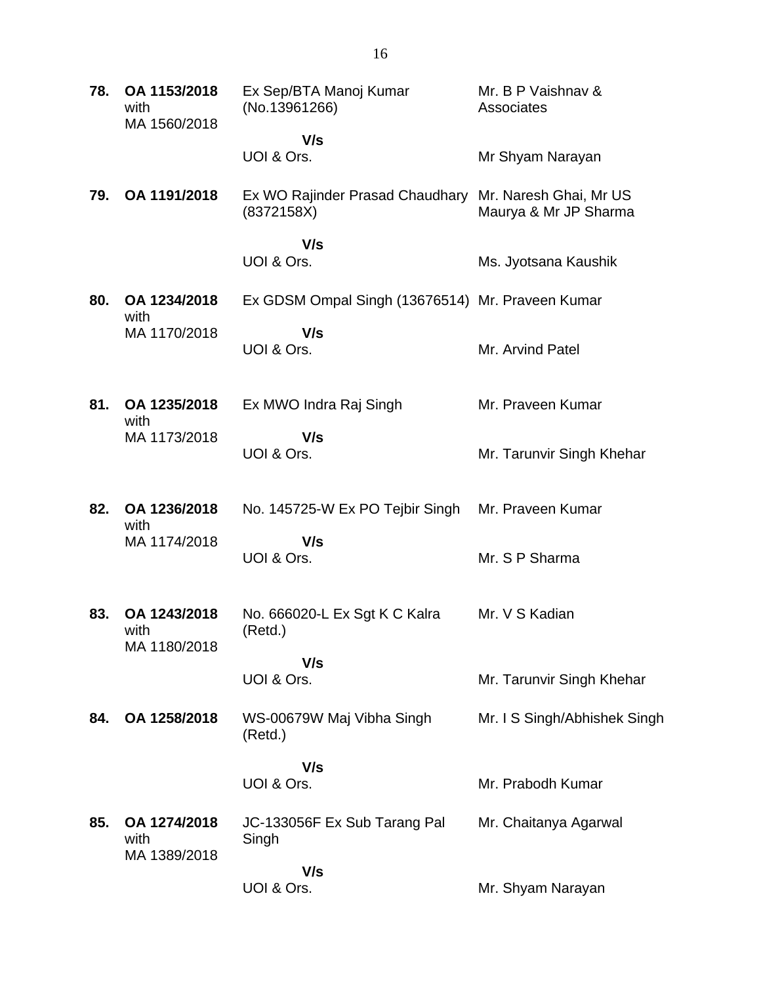| 78. | OA 1153/2018<br>with<br>MA 1560/2018 | Ex Sep/BTA Manoj Kumar<br>(No.13961266)          | Mr. B P Vaishnav &<br>Associates                |
|-----|--------------------------------------|--------------------------------------------------|-------------------------------------------------|
|     |                                      | V/s<br>UOI & Ors.                                | Mr Shyam Narayan                                |
| 79. | OA 1191/2018                         | Ex WO Rajinder Prasad Chaudhary<br>(8372158X)    | Mr. Naresh Ghai, Mr US<br>Maurya & Mr JP Sharma |
|     |                                      | V/s<br>UOI & Ors.                                | Ms. Jyotsana Kaushik                            |
| 80. | OA 1234/2018                         | Ex GDSM Ompal Singh (13676514) Mr. Praveen Kumar |                                                 |
|     | with<br>MA 1170/2018                 | V/s<br>UOI & Ors.                                | Mr. Arvind Patel                                |
| 81. | OA 1235/2018<br>with                 | Ex MWO Indra Raj Singh                           | Mr. Praveen Kumar                               |
|     | MA 1173/2018                         | V/s<br>UOI & Ors.                                | Mr. Tarunvir Singh Khehar                       |
| 82. | OA 1236/2018<br>with                 | No. 145725-W Ex PO Tejbir Singh                  | Mr. Praveen Kumar                               |
|     | MA 1174/2018                         | V/s<br>UOI & Ors.                                | Mr. S P Sharma                                  |
| 83. | OA 1243/2018<br>with<br>MA 1180/2018 | No. 666020-L Ex Sgt K C Kalra<br>(Retd.)         | Mr. V S Kadian                                  |
|     |                                      | V/s<br>UOI & Ors.                                | Mr. Tarunvir Singh Khehar                       |
| 84. | OA 1258/2018                         | WS-00679W Maj Vibha Singh<br>(Retd.)             | Mr. I S Singh/Abhishek Singh                    |
|     |                                      | V/s<br>UOI & Ors.                                | Mr. Prabodh Kumar                               |
| 85. | OA 1274/2018<br>with<br>MA 1389/2018 | JC-133056F Ex Sub Tarang Pal<br>Singh            | Mr. Chaitanya Agarwal                           |
|     |                                      | V/s<br>UOI & Ors.                                | Mr. Shyam Narayan                               |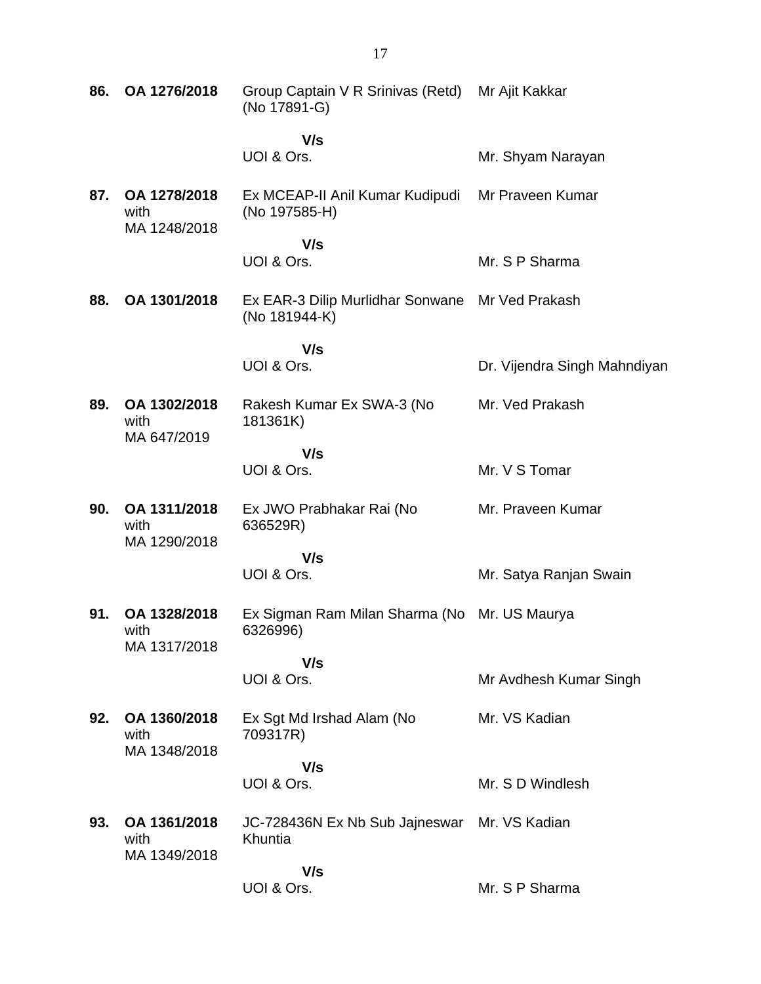| 86. | OA 1276/2018                         | Group Captain V R Srinivas (Retd) Mr Ajit Kakkar<br>(No 17891-G) |                              |
|-----|--------------------------------------|------------------------------------------------------------------|------------------------------|
|     |                                      | V/s<br>UOI & Ors.                                                | Mr. Shyam Narayan            |
| 87. | OA 1278/2018<br>with<br>MA 1248/2018 | Ex MCEAP-II Anil Kumar Kudipudi<br>(No 197585-H)                 | Mr Praveen Kumar             |
|     |                                      | V/s                                                              |                              |
|     |                                      | UOI & Ors.                                                       | Mr. S P Sharma               |
| 88. | OA 1301/2018                         | Ex EAR-3 Dilip Murlidhar Sonwane Mr Ved Prakash<br>(No 181944-K) |                              |
|     |                                      | V/s                                                              |                              |
|     |                                      | UOI & Ors.                                                       | Dr. Vijendra Singh Mahndiyan |
| 89. | OA 1302/2018<br>with<br>MA 647/2019  | Rakesh Kumar Ex SWA-3 (No<br>181361K)                            | Mr. Ved Prakash              |
|     |                                      | V/s                                                              |                              |
|     |                                      | UOI & Ors.                                                       | Mr. V S Tomar                |
| 90. | OA 1311/2018<br>with                 | Ex JWO Prabhakar Rai (No<br>636529R)                             | Mr. Praveen Kumar            |
|     | MA 1290/2018                         | V/s                                                              |                              |
|     |                                      | UOI & Ors.                                                       | Mr. Satya Ranjan Swain       |
| 91. | OA 1328/2018<br>with<br>MA 1317/2018 | Ex Sigman Ram Milan Sharma (No Mr. US Maurya<br>6326996)         |                              |
|     |                                      | V/s                                                              |                              |
|     |                                      | UOI & Ors.                                                       | Mr Avdhesh Kumar Singh       |
| 92. | OA 1360/2018<br>with<br>MA 1348/2018 | Ex Sgt Md Irshad Alam (No<br>709317R)                            | Mr. VS Kadian                |
|     |                                      | V/s                                                              |                              |
|     |                                      | UOI & Ors.                                                       | Mr. S D Windlesh             |
| 93. | OA 1361/2018<br>with<br>MA 1349/2018 | JC-728436N Ex Nb Sub Jajneswar Mr. VS Kadian<br>Khuntia          |                              |
|     |                                      | V/s                                                              |                              |
|     |                                      | UOI & Ors.                                                       | Mr. S P Sharma               |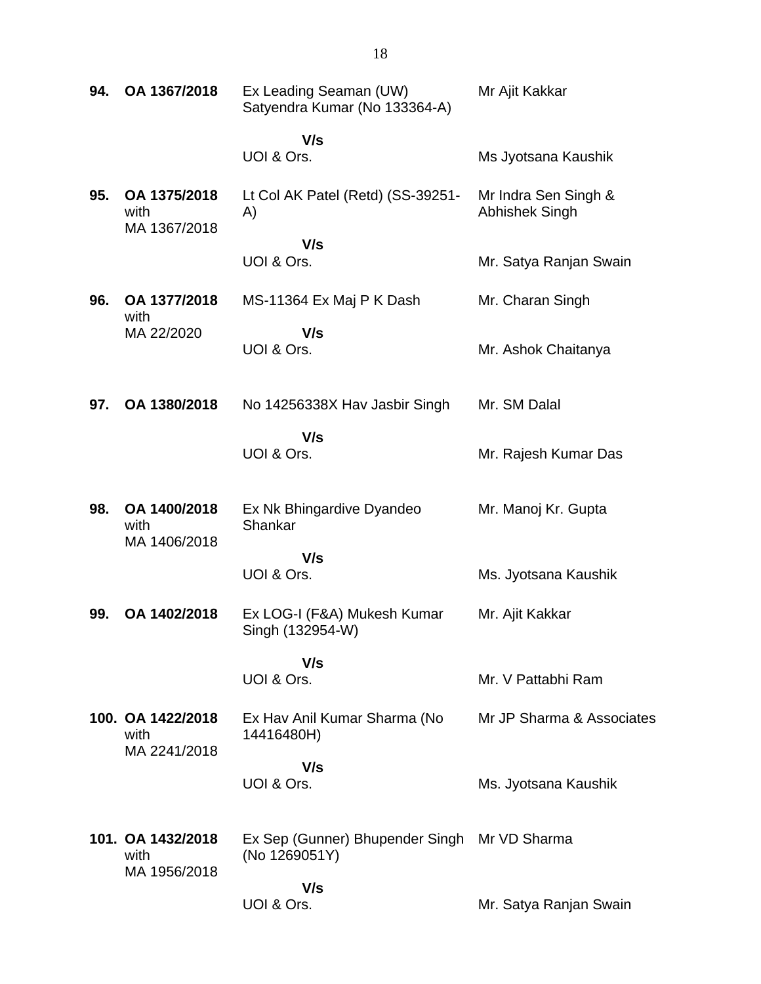| 94. | OA 1367/2018                         | Ex Leading Seaman (UW)<br>Satyendra Kumar (No 133364-A) | Mr Ajit Kakkar                                |
|-----|--------------------------------------|---------------------------------------------------------|-----------------------------------------------|
|     |                                      | V/s<br>UOI & Ors.                                       | Ms Jyotsana Kaushik                           |
| 95. | OA 1375/2018<br>with<br>MA 1367/2018 | Lt Col AK Patel (Retd) (SS-39251-<br>A)                 | Mr Indra Sen Singh &<br><b>Abhishek Singh</b> |
|     |                                      | V/s<br>UOI & Ors.                                       | Mr. Satya Ranjan Swain                        |
| 96. | OA 1377/2018<br>with                 | MS-11364 Ex Maj P K Dash                                | Mr. Charan Singh                              |
|     | MA 22/2020                           | V/s<br>UOI & Ors.                                       | Mr. Ashok Chaitanya                           |
| 97. | OA 1380/2018                         | No 14256338X Hav Jasbir Singh                           | Mr. SM Dalal                                  |
|     |                                      | V/s<br>UOI & Ors.                                       | Mr. Rajesh Kumar Das                          |
| 98. | OA 1400/2018<br>with<br>MA 1406/2018 | Ex Nk Bhingardive Dyandeo<br>Shankar                    | Mr. Manoj Kr. Gupta                           |
|     |                                      | V/s<br>UOI & Ors.                                       | Ms. Jyotsana Kaushik                          |
| 99. | OA 1402/2018                         | Ex LOG-I (F&A) Mukesh Kumar<br>Singh (132954-W)         | Mr. Ajit Kakkar                               |
|     |                                      | V/s<br>UOI & Ors.                                       | Mr. V Pattabhi Ram                            |
|     | 100. OA 1422/2018<br>with            | Ex Hav Anil Kumar Sharma (No<br>14416480H)              | Mr JP Sharma & Associates                     |
|     | MA 2241/2018                         | V/s<br>UOI & Ors.                                       | Ms. Jyotsana Kaushik                          |
|     | 101. OA 1432/2018<br>with            | Ex Sep (Gunner) Bhupender Singh<br>(No 1269051Y)        | Mr VD Sharma                                  |
|     | MA 1956/2018                         | V/s<br>UOI & Ors.                                       | Mr. Satya Ranjan Swain                        |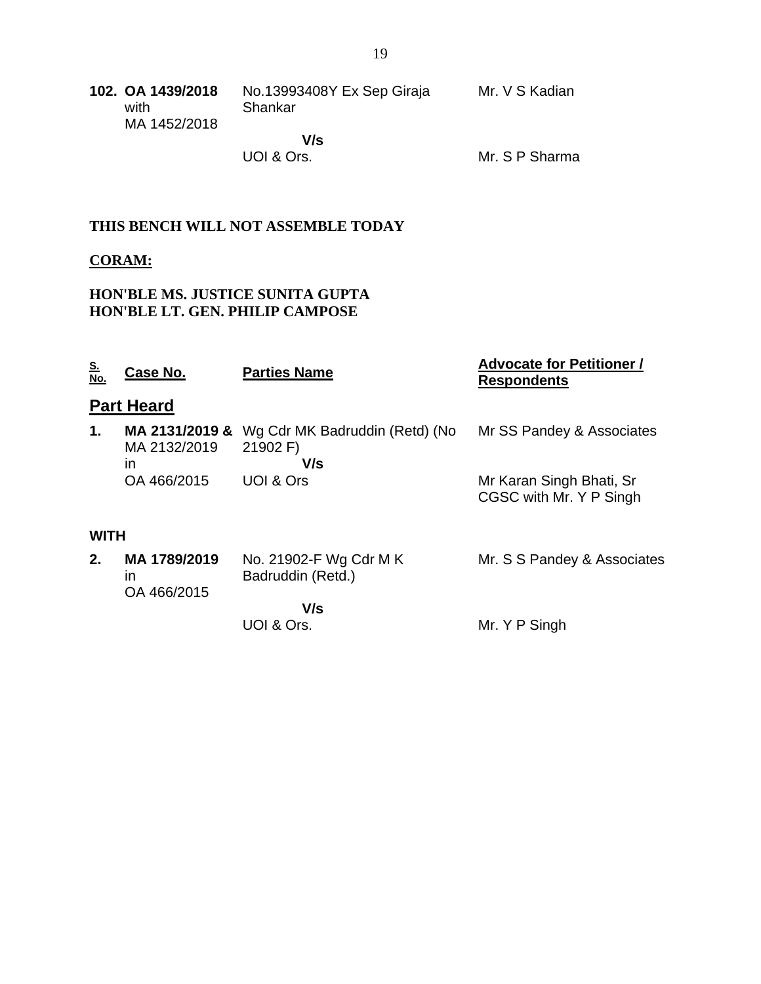| 102. OA 1439/2018<br>with<br>MA 1452/2018 | No.13993408Y Ex Sep Giraja<br>Shankar | Mr. V S Kadian |
|-------------------------------------------|---------------------------------------|----------------|
|                                           | V/s                                   |                |
|                                           | UOI & Ors.                            | Mr. S P Sharma |

### **THIS BENCH WILL NOT ASSEMBLE TODAY**

#### **CORAM:**

### **HON'BLE MS. JUSTICE SUNITA GUPTA HON'BLE LT. GEN. PHILIP CAMPOSE**

| <u>S.</u><br>No. | Case No.                             | <b>Parties Name</b>                               | <b>Advocate for Petitioner /</b><br><b>Respondents</b> |
|------------------|--------------------------------------|---------------------------------------------------|--------------------------------------------------------|
|                  | <b>Part Heard</b>                    |                                                   |                                                        |
| 1.               | MA 2131/2019 &<br>MA 2132/2019<br>in | Wg Cdr MK Badruddin (Retd) (No<br>21902 F)<br>V/s | Mr SS Pandey & Associates                              |
|                  | OA 466/2015                          | UOI & Ors                                         | Mr Karan Singh Bhati, Sr<br>CGSC with Mr. Y P Singh    |
| <b>WITH</b>      |                                      |                                                   |                                                        |
| 2.               | MA 1789/2019<br>ın<br>OA 466/2015    | No. 21902-F Wg Cdr M K<br>Badruddin (Retd.)       | Mr. S S Pandey & Associates                            |
|                  |                                      | V/s                                               |                                                        |
|                  |                                      | UOI & Ors.                                        | Mr. Y P Singh                                          |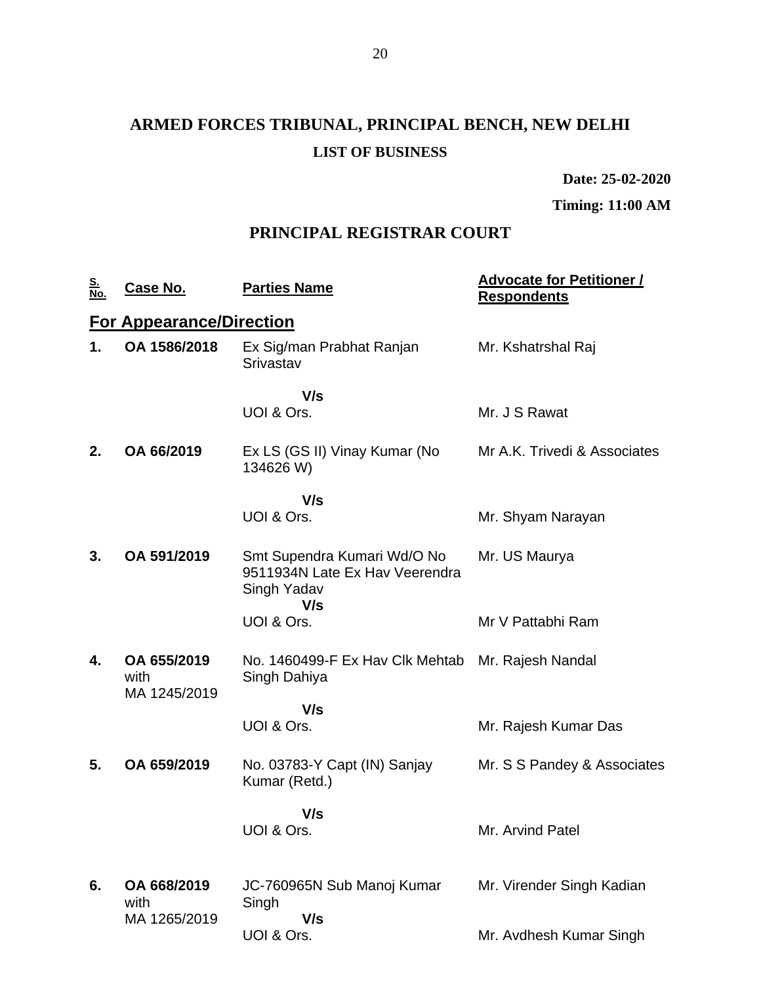# **ARMED FORCES TRIBUNAL, PRINCIPAL BENCH, NEW DELHI LIST OF BUSINESS**

**Date: 25-02-2020**

**Timing: 11:00 AM**

## **PRINCIPAL REGISTRAR COURT**

| <u>S.<br/>No.</u> | <u>Case No.</u>                     | <b>Parties Name</b>                                                          | <u><b>Advocate for Petitioner /</b></u><br><b>Respondents</b> |
|-------------------|-------------------------------------|------------------------------------------------------------------------------|---------------------------------------------------------------|
|                   | <b>For Appearance/Direction</b>     |                                                                              |                                                               |
| 1.                | OA 1586/2018                        | Ex Sig/man Prabhat Ranjan<br>Srivastav                                       | Mr. Kshatrshal Raj                                            |
|                   |                                     | V/s                                                                          |                                                               |
|                   |                                     | UOI & Ors.                                                                   | Mr. J S Rawat                                                 |
| 2.                | OA 66/2019                          | Ex LS (GS II) Vinay Kumar (No<br>134626 W)                                   | Mr A.K. Trivedi & Associates                                  |
|                   |                                     | V/s                                                                          |                                                               |
|                   |                                     | UOI & Ors.                                                                   | Mr. Shyam Narayan                                             |
| 3.                | OA 591/2019                         | Smt Supendra Kumari Wd/O No<br>9511934N Late Ex Hav Veerendra<br>Singh Yadav | Mr. US Maurya                                                 |
|                   |                                     | V/s<br>UOI & Ors.                                                            | Mr V Pattabhi Ram                                             |
| 4.                | OA 655/2019<br>with<br>MA 1245/2019 | No. 1460499-F Ex Hav Clk Mehtab Mr. Rajesh Nandal<br>Singh Dahiya            |                                                               |
|                   |                                     | V/s                                                                          |                                                               |
|                   |                                     | UOI & Ors.                                                                   | Mr. Rajesh Kumar Das                                          |
| 5.                | OA 659/2019                         | No. 03783-Y Capt (IN) Sanjay<br>Kumar (Retd.)                                | Mr. S S Pandey & Associates                                   |
|                   |                                     | V/s                                                                          |                                                               |
|                   |                                     | UOI & Ors.                                                                   | Mr. Arvind Patel                                              |
|                   |                                     |                                                                              |                                                               |
| 6.                | OA 668/2019<br>with                 | JC-760965N Sub Manoj Kumar<br>Singh                                          | Mr. Virender Singh Kadian                                     |
|                   | MA 1265/2019                        | V/s<br>UOI & Ors.                                                            | Mr. Avdhesh Kumar Singh                                       |
|                   |                                     |                                                                              |                                                               |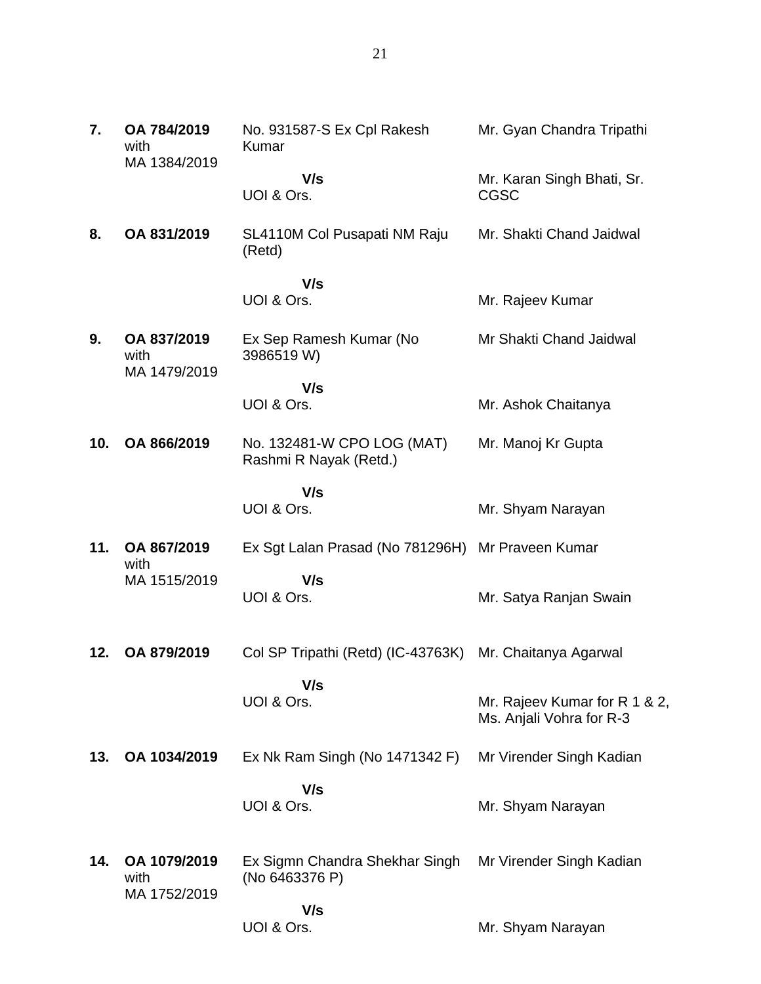| 7.  | OA 784/2019<br>with<br>MA 1384/2019  | No. 931587-S Ex Cpl Rakesh<br>Kumar                      | Mr. Gyan Chandra Tripathi                                 |
|-----|--------------------------------------|----------------------------------------------------------|-----------------------------------------------------------|
|     |                                      | V/s<br>UOI & Ors.                                        | Mr. Karan Singh Bhati, Sr.<br><b>CGSC</b>                 |
| 8.  | OA 831/2019                          | SL4110M Col Pusapati NM Raju<br>(Retd)                   | Mr. Shakti Chand Jaidwal                                  |
|     |                                      | V/s                                                      |                                                           |
|     |                                      | UOI & Ors.                                               | Mr. Rajeev Kumar                                          |
| 9.  | OA 837/2019<br>with<br>MA 1479/2019  | Ex Sep Ramesh Kumar (No<br>3986519 W)                    | Mr Shakti Chand Jaidwal                                   |
|     |                                      | V/s                                                      |                                                           |
|     |                                      | UOI & Ors.                                               | Mr. Ashok Chaitanya                                       |
| 10. | OA 866/2019                          | No. 132481-W CPO LOG (MAT)<br>Rashmi R Nayak (Retd.)     | Mr. Manoj Kr Gupta                                        |
|     |                                      | V/s<br>UOI & Ors.                                        | Mr. Shyam Narayan                                         |
| 11. | OA 867/2019<br>with                  | Ex Sgt Lalan Prasad (No 781296H) Mr Praveen Kumar        |                                                           |
|     | MA 1515/2019                         | V/s<br>UOI & Ors.                                        | Mr. Satya Ranjan Swain                                    |
| 12. | OA 879/2019                          | Col SP Tripathi (Retd) (IC-43763K) Mr. Chaitanya Agarwal |                                                           |
|     |                                      | V/s<br>UOI & Ors.                                        | Mr. Rajeev Kumar for R 1 & 2,<br>Ms. Anjali Vohra for R-3 |
| 13. | OA 1034/2019                         | Ex Nk Ram Singh (No 1471342 F)                           | Mr Virender Singh Kadian                                  |
|     |                                      | V/s<br>UOI & Ors.                                        | Mr. Shyam Narayan                                         |
| 14. | OA 1079/2019<br>with<br>MA 1752/2019 | Ex Sigmn Chandra Shekhar Singh<br>(No 6463376 P)         | Mr Virender Singh Kadian                                  |
|     |                                      | V/s<br>UOI & Ors.                                        | Mr. Shyam Narayan                                         |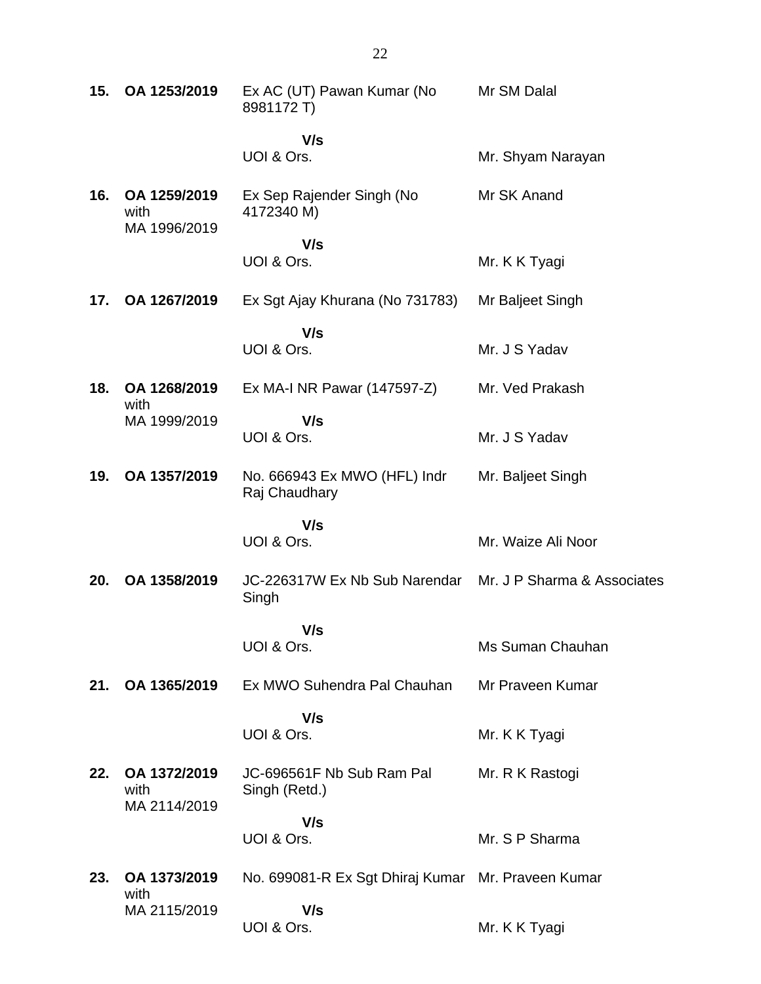| 15. | OA 1253/2019                         | Ex AC (UT) Pawan Kumar (No<br>8981172 T)                           | Mr SM Dalal        |
|-----|--------------------------------------|--------------------------------------------------------------------|--------------------|
|     |                                      | V/s<br>UOI & Ors.                                                  | Mr. Shyam Narayan  |
| 16. | OA 1259/2019<br>with                 | Ex Sep Rajender Singh (No<br>4172340 M)                            | Mr SK Anand        |
|     | MA 1996/2019                         | V/s<br>UOI & Ors.                                                  | Mr. K K Tyagi      |
| 17. | OA 1267/2019                         | Ex Sgt Ajay Khurana (No 731783)                                    | Mr Baljeet Singh   |
|     |                                      | V/s<br>UOI & Ors.                                                  | Mr. J S Yadav      |
| 18. | OA 1268/2019<br>with                 | Ex MA-I NR Pawar (147597-Z)                                        | Mr. Ved Prakash    |
|     | MA 1999/2019                         | V/s<br>UOI & Ors.                                                  | Mr. J S Yadav      |
| 19. | OA 1357/2019                         | No. 666943 Ex MWO (HFL) Indr<br>Raj Chaudhary                      | Mr. Baljeet Singh  |
|     |                                      | V/s<br>UOI & Ors.                                                  | Mr. Waize Ali Noor |
| 20. | OA 1358/2019                         | JC-226317W Ex Nb Sub Narendar Mr. J P Sharma & Associates<br>Singh |                    |
|     |                                      | V/s<br>UOI & Ors.                                                  | Ms Suman Chauhan   |
| 21. | OA 1365/2019                         | Ex MWO Suhendra Pal Chauhan                                        | Mr Praveen Kumar   |
|     |                                      | V/s<br>UOI & Ors.                                                  | Mr. K K Tyagi      |
| 22. | OA 1372/2019<br>with<br>MA 2114/2019 | JC-696561F Nb Sub Ram Pal<br>Singh (Retd.)                         | Mr. R K Rastogi    |
|     |                                      | V/s<br>UOI & Ors.                                                  | Mr. S P Sharma     |
| 23. | OA 1373/2019                         | No. 699081-R Ex Sgt Dhiraj Kumar Mr. Praveen Kumar                 |                    |
|     | with                                 |                                                                    |                    |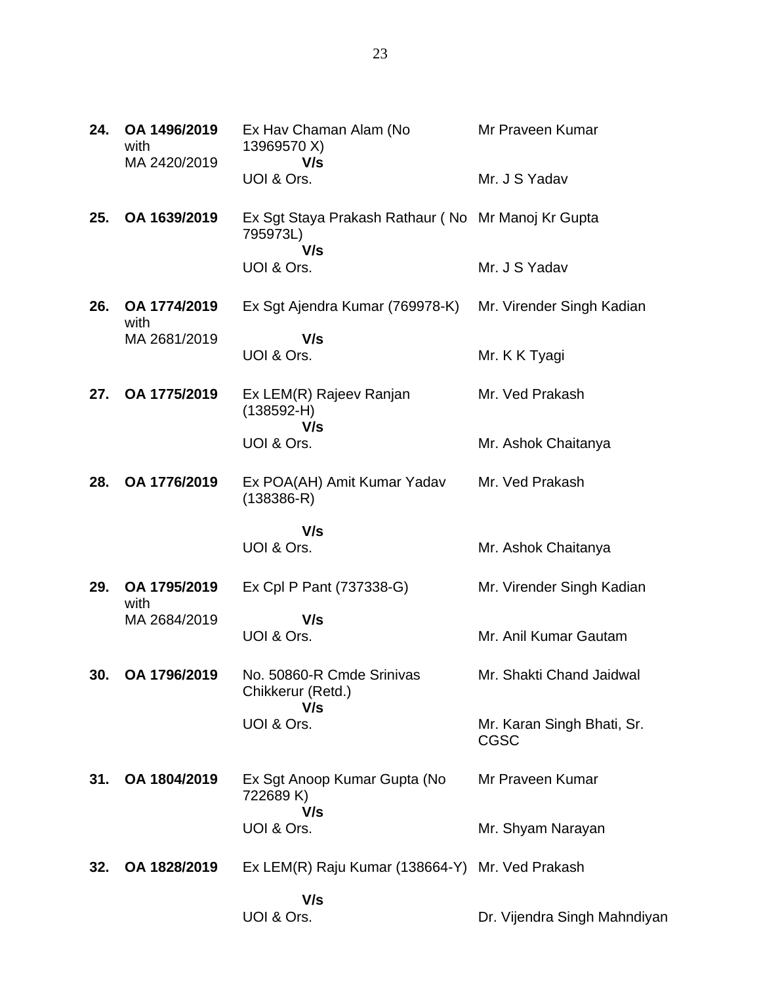| 24. | OA 1496/2019<br>with<br>MA 2420/2019 | Ex Hav Chaman Alam (No<br>13969570 X)<br>V/s                          | Mr Praveen Kumar                          |
|-----|--------------------------------------|-----------------------------------------------------------------------|-------------------------------------------|
|     |                                      | UOI & Ors.                                                            | Mr. J S Yadav                             |
| 25. | OA 1639/2019                         | Ex Sgt Staya Prakash Rathaur (No Mr Manoj Kr Gupta<br>795973L)<br>V/s |                                           |
|     |                                      | UOI & Ors.                                                            | Mr. J S Yadav                             |
| 26. | OA 1774/2019<br>with                 | Ex Sgt Ajendra Kumar (769978-K)                                       | Mr. Virender Singh Kadian                 |
|     | MA 2681/2019                         | V/s<br>UOI & Ors.                                                     | Mr. K K Tyagi                             |
| 27. | OA 1775/2019                         | Ex LEM(R) Rajeev Ranjan<br>$(138592-H)$                               | Mr. Ved Prakash                           |
|     |                                      | V/s<br>UOI & Ors.                                                     | Mr. Ashok Chaitanya                       |
| 28. | OA 1776/2019                         | Ex POA(AH) Amit Kumar Yadav<br>$(138386 - R)$                         | Mr. Ved Prakash                           |
|     |                                      | V/s<br>UOI & Ors.                                                     | Mr. Ashok Chaitanya                       |
|     |                                      |                                                                       |                                           |
| 29. | OA 1795/2019<br>with                 | Ex Cpl P Pant (737338-G)                                              | Mr. Virender Singh Kadian                 |
|     | MA 2684/2019                         | V/s<br>UOI & Ors.                                                     | Mr. Anil Kumar Gautam                     |
| 30. | OA 1796/2019                         | No. 50860-R Cmde Srinivas<br>Chikkerur (Retd.)                        | Mr. Shakti Chand Jaidwal                  |
|     |                                      | V/s<br>UOI & Ors.                                                     | Mr. Karan Singh Bhati, Sr.<br><b>CGSC</b> |
| 31. | OA 1804/2019                         | Ex Sgt Anoop Kumar Gupta (No<br>722689K)                              | Mr Praveen Kumar                          |
|     |                                      | V/s<br>UOI & Ors.                                                     | Mr. Shyam Narayan                         |
| 32. | OA 1828/2019                         | Ex LEM(R) Raju Kumar (138664-Y) Mr. Ved Prakash                       |                                           |
|     |                                      | V/s<br>UOI & Ors.                                                     | Dr. Vijendra Singh Mahndiyan              |